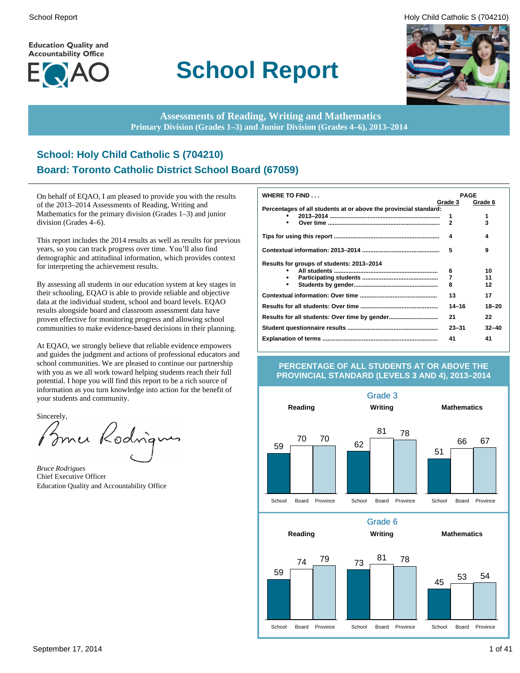**Education Quality and Accountability Office** 



# **School Report**





**Assessments of Reading, Writing and Mathematics Primary Division (Grades 1–3) and Junior Division (Grades 4–6), 2013–2014**

# **School: Holy Child Catholic S (704210) Board: Toronto Catholic District School Board (67059)**

On behalf of EQAO, I am pleased to provide you with the results of the 2013–2014 Assessments of Reading, Writing and Mathematics for the primary division (Grades 1–3) and junior division (Grades 4–6).

This report includes the 2014 results as well as results for previous years, so you can track progress over time. You'll also find demographic and attitudinal information, which provides context for interpreting the achievement results.

By assessing all students in our education system at key stages in their schooling, EQAO is able to provide reliable and objective data at the individual student, school and board levels. EQAO results alongside board and classroom assessment data have proven effective for monitoring progress and allowing school communities to make evidence-based decisions in their planning.

At EQAO, we strongly believe that reliable evidence empowers and guides the judgment and actions of professional educators and school communities. We are pleased to continue our partnership with you as we all work toward helping students reach their full potential. I hope you will find this report to be a rich source of information as you turn knowledge into action for the benefit of your students and community.

Sincerely,

Brner Rodrigu

*Bruce Rodrigues* Chief Executive Officer Education Quality and Accountability Office

| WHERE TO FIND                                                    | <b>PAGE</b>  |           |
|------------------------------------------------------------------|--------------|-----------|
|                                                                  | Grade 3      | Grade 6   |
| Percentages of all students at or above the provincial standard: |              |           |
|                                                                  | 1            | 1         |
| $\bullet$                                                        | $\mathbf{2}$ | 3         |
|                                                                  | 4            | 4         |
|                                                                  | 5            | 9         |
| Results for groups of students: 2013-2014                        |              |           |
|                                                                  | 6            | 10        |
|                                                                  | 7            | 11        |
| $\bullet$                                                        | 8            | 12        |
|                                                                  | 13           | 17        |
|                                                                  | $14 - 16$    | $18 - 20$ |
|                                                                  | 21           | 22        |
|                                                                  | $23 - 31$    | $32 - 40$ |
|                                                                  | 41           | 41        |

#### **PERCENTAGE OF ALL STUDENTS AT OR ABOVE THE PROVINCIAL STANDARD (LEVELS 3 AND 4), 2013–2014**

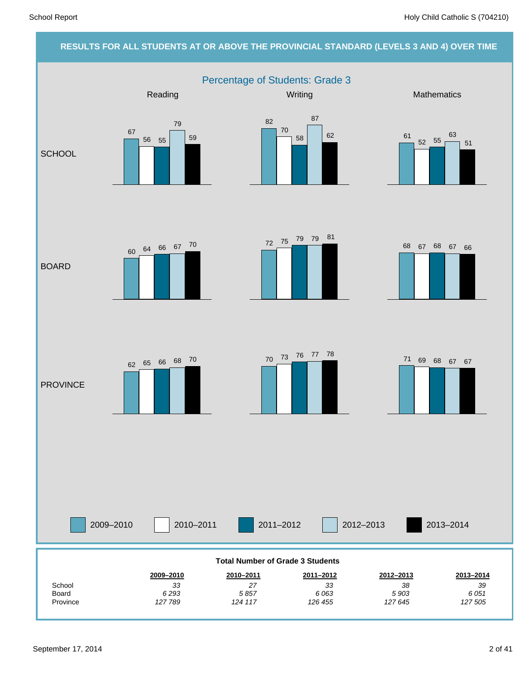#### **RESULTS FOR ALL STUDENTS AT OR ABOVE THE PROVINCIAL STANDARD (LEVELS 3 AND 4) OVER TIME**

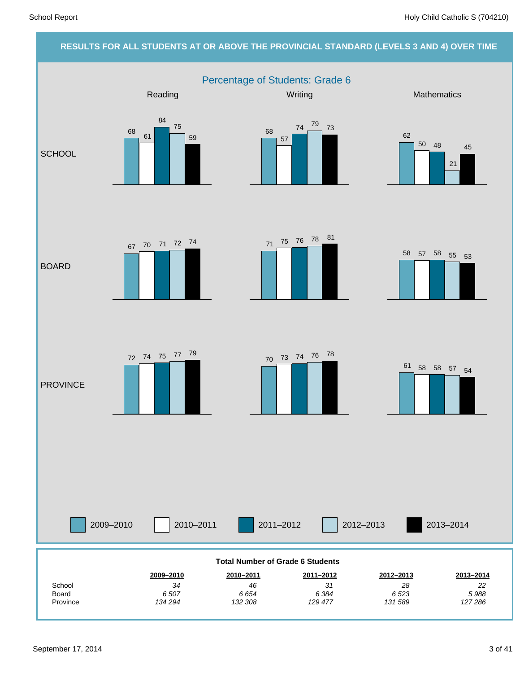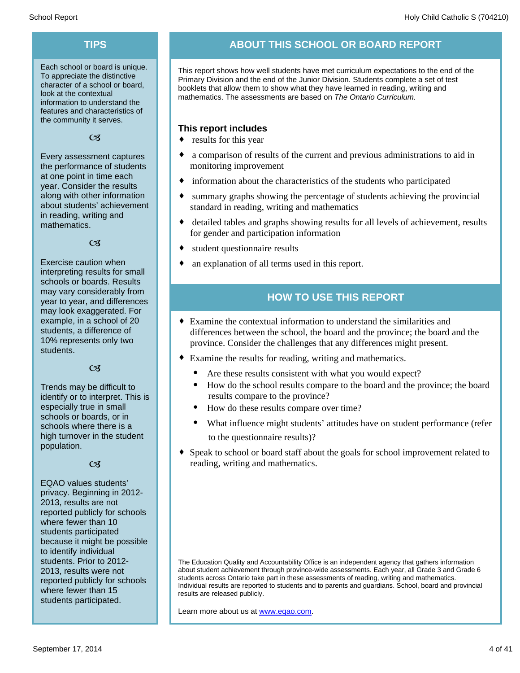Each school or board is unique. To appreciate the distinctive character of a school or board, look at the contextual information to understand the features and characteristics of the community it serves.

 $C<sub>3</sub>$ 

Every assessment captures the performance of students at one point in time each year. Consider the results along with other information about students' achievement in reading, writing and mathematics.

 $C<sub>3</sub>$ 

Exercise caution when interpreting results for small schools or boards. Results may vary considerably from year to year, and differences may look exaggerated. For example, in a school of 20 students, a difference of 10% represents only two students.

#### $C<sub>1</sub>$

Trends may be difficult to identify or to interpret. This is especially true in small schools or boards, or in schools where there is a high turnover in the student population.

#### $C<sub>3</sub>$

EQAO values students' privacy. Beginning in 2012- 2013, results are not reported publicly for schools where fewer than 10 students participated because it might be possible to identify individual students. Prior to 2012- 2013, results were not reported publicly for schools where fewer than 15 students participated.

# **TIPS ABOUT THIS SCHOOL OR BOARD REPORT**

This report shows how well students have met curriculum expectations to the end of the Primary Division and the end of the Junior Division. Students complete a set of test booklets that allow them to show what they have learned in reading, writing and mathematics. The assessments are based on *The Ontario Curriculum.*

#### **This report includes**

- $\bullet$  results for this year
- $\bullet$  a comparison of results of the current and previous administrations to aid in monitoring improvement
- $\bullet$  information about the characteristics of the students who participated
- summary graphs showing the percentage of students achieving the provincial standard in reading, writing and mathematics
- detailed tables and graphs showing results for all levels of achievement, results for gender and participation information
- student questionnaire results
- an explanation of all terms used in this report.

#### **HOW TO USE THIS REPORT**

- $\bullet$  Examine the contextual information to understand the similarities and differences between the school, the board and the province; the board and the province. Consider the challenges that any differences might present.
- Examine the results for reading, writing and mathematics.
	- Are these results consistent with what you would expect?
	- · How do the school results compare to the board and the province; the board results compare to the province?
	- How do these results compare over time?
	- What influence might students' attitudes have on student performance (refer to the questionnaire results)?
- Speak to school or board staff about the goals for school improvement related to reading, writing and mathematics.

The Education Quality and Accountability Office is an independent agency that gathers information about student achievement through province-wide assessments. Each year, all Grade 3 and Grade 6 students across Ontario take part in these assessments of reading, writing and mathematics. Individual results are reported to students and to parents and guardians. School, board and provincial results are released publicly.

Learn more about us at www.eqao.com.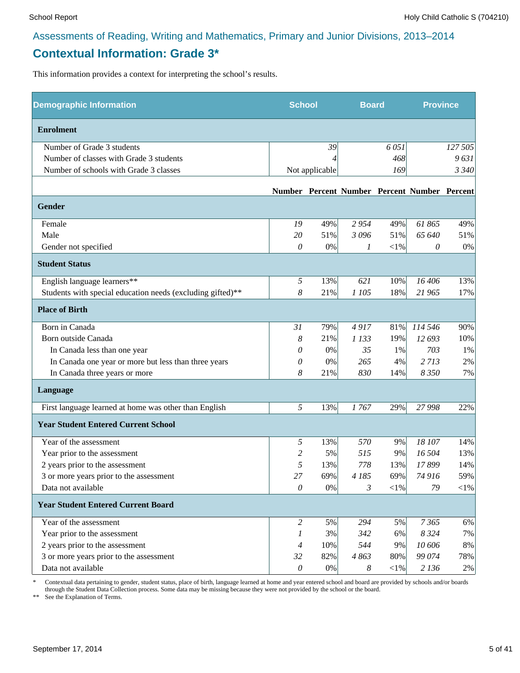# **Contextual Information: Grade 3\***

This information provides a context for interpreting the school's results.

| <b>Demographic Information</b>                             |                           |                | <b>School</b><br><b>Board</b> |            |                                              | <b>Province</b> |  |
|------------------------------------------------------------|---------------------------|----------------|-------------------------------|------------|----------------------------------------------|-----------------|--|
| <b>Enrolment</b>                                           |                           |                |                               |            |                                              |                 |  |
| Number of Grade 3 students                                 |                           | 39             |                               | 6051       |                                              | 127 505         |  |
| Number of classes with Grade 3 students                    |                           |                |                               | 468        |                                              | 9631            |  |
| Number of schools with Grade 3 classes                     |                           | Not applicable |                               | 169        |                                              | 3 3 4 0         |  |
|                                                            |                           |                |                               |            | Number Percent Number Percent Number Percent |                 |  |
| Gender                                                     |                           |                |                               |            |                                              |                 |  |
| Female                                                     | 19                        | 49%            | 2954                          | 49%        | 61865                                        | 49%             |  |
| Male                                                       | 20                        | 51%            | 3096                          | 51%        | 65 640                                       | 51%             |  |
| Gender not specified                                       | 0                         | 0%             | 1                             | ${<}1\%$   | 0                                            | 0%              |  |
| <b>Student Status</b>                                      |                           |                |                               |            |                                              |                 |  |
| English language learners**                                | 5                         | 13%            | 621                           | 10%        | 16 40 6                                      | 13%             |  |
| Students with special education needs (excluding gifted)** | 8                         | 21%            | 1 105                         | 18%        | 21 965                                       | 17%             |  |
| <b>Place of Birth</b>                                      |                           |                |                               |            |                                              |                 |  |
| Born in Canada                                             | 31                        | 79%            | 4917                          | 81%        | 114 546                                      | 90%             |  |
| Born outside Canada                                        | 8                         | 21%            | 1 1 3 3                       | 19%        | 12 693                                       | 10%             |  |
| In Canada less than one year                               | 0                         | $0\%$          | 35                            | 1%         | 703                                          | 1%              |  |
| In Canada one year or more but less than three years       | 0                         | 0%             | 265                           | 4%         | 2713                                         | 2%              |  |
| In Canada three years or more                              | 8                         | 21%            | 830                           | 14%        | 8 3 5 0                                      | 7%              |  |
| Language                                                   |                           |                |                               |            |                                              |                 |  |
| First language learned at home was other than English      | 5                         | 13%            | 1767                          | 29%        | 27 998                                       | 22%             |  |
| <b>Year Student Entered Current School</b>                 |                           |                |                               |            |                                              |                 |  |
| Year of the assessment                                     | 5                         | 13%            | 570                           | 9%         | 18 107                                       | 14%             |  |
| Year prior to the assessment                               | 2                         | 5%             | 515                           | 9%         | 16 504                                       | 13%             |  |
| 2 years prior to the assessment                            | 5                         | 13%            | 778                           | 13%        | 17899                                        | 14%             |  |
| 3 or more years prior to the assessment                    | 27                        | 69%            | 4 185                         | 69%        | 74 916                                       | 59%             |  |
| Data not available                                         | 0                         | $0\%$          | 3                             | $<\!\!1\%$ | 79                                           | $<$ 1%          |  |
| <b>Year Student Entered Current Board</b>                  |                           |                |                               |            |                                              |                 |  |
| Year of the assessment                                     | $\overline{2}$            | 5%             | 294                           | 5%         | 7365                                         | 6%              |  |
| Year prior to the assessment                               | 1                         | 3%             | 342                           | 6%         | 8 3 2 4                                      | 7%              |  |
| 2 years prior to the assessment                            | $\overline{4}$            | 10%            | 544                           | 9%         | 10 606                                       | 8%              |  |
| 3 or more years prior to the assessment                    | 32                        | 82%            | 4863                          | 80%        | 99 074                                       | 78%             |  |
| Data not available                                         | $\boldsymbol{\mathit{0}}$ | $0\%$          | $\boldsymbol{8}$              | $<\!\!1\%$ | 2 1 3 6                                      | $2\%$           |  |

\* Contextual data pertaining to gender, student status, place of birth, language learned at home and year entered school and board are provided by schools and/or boards through the Student Data Collection process. Some data may be missing because they were not provided by the school or the board.

\*\* See the Explanation of Terms.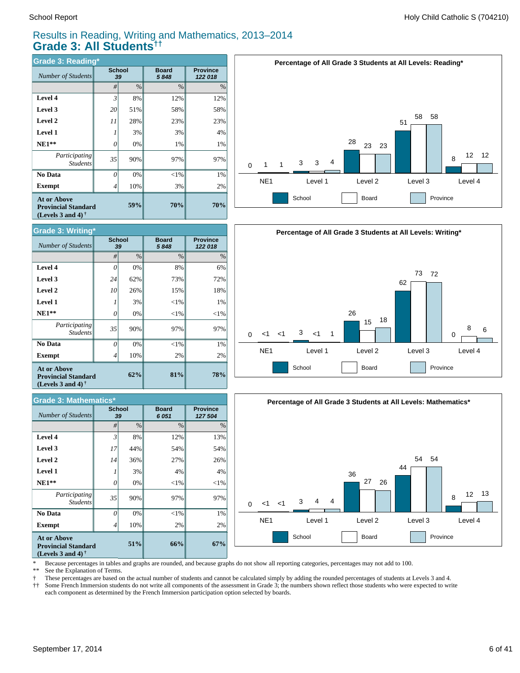#### Results in Reading, Writing and Mathematics, 2013–2014 **Grade 3: All Students††**

| <b>Grade 3: Reading*</b>                                                          |                |                     |                      |                            |  |  |  |  |
|-----------------------------------------------------------------------------------|----------------|---------------------|----------------------|----------------------------|--|--|--|--|
| Number of Students                                                                |                | <b>School</b><br>39 | <b>Board</b><br>5848 | <b>Province</b><br>122 018 |  |  |  |  |
|                                                                                   | #              | $\%$                | $\frac{0}{0}$        | $\%$                       |  |  |  |  |
| Level 4                                                                           | $\mathfrak{Z}$ | 8%                  | 12%                  | 12%                        |  |  |  |  |
| Level 3                                                                           | 20             | 51%                 | 58%                  | 58%                        |  |  |  |  |
| Level 2                                                                           | 11             | 28%                 | 23%                  | 23%                        |  |  |  |  |
| <b>Level 1</b>                                                                    | 1              | 3%                  | 3%                   | 4%                         |  |  |  |  |
| $NE1**$                                                                           | 0              | 0%                  | 1%                   | 1%                         |  |  |  |  |
| Participating<br><b>Students</b>                                                  | 35             | 90%                 | 97%                  | 97%                        |  |  |  |  |
| <b>No Data</b>                                                                    | $\theta$       | 0%                  | $<$ 1%               | 1%                         |  |  |  |  |
| Exempt                                                                            | 4              | 10%                 | 3%                   | 2%                         |  |  |  |  |
| <b>At or Above</b><br><b>Provincial Standard</b><br>(Levels 3 and 4) $^{\dagger}$ |                | 59%                 | 70%                  | 70%                        |  |  |  |  |



| <b>Grade 3: Mathematics*</b>                                                                         |    |                     |                      |                            |  |  |  |  |  |
|------------------------------------------------------------------------------------------------------|----|---------------------|----------------------|----------------------------|--|--|--|--|--|
| <b>Number of Students</b>                                                                            |    | <b>School</b><br>39 | <b>Board</b><br>6051 | <b>Province</b><br>127 504 |  |  |  |  |  |
|                                                                                                      | #  | $\%$                | $\%$                 | $\%$                       |  |  |  |  |  |
| Level 4                                                                                              | 3  | 8%                  | 12%                  | 13%                        |  |  |  |  |  |
| Level 3                                                                                              | 17 | 44%                 | 54%                  | 54%                        |  |  |  |  |  |
| Level 2                                                                                              | 14 | 36%                 | 27%                  | 26%                        |  |  |  |  |  |
| <b>Level 1</b>                                                                                       |    | 3%                  | 4%                   | 4%                         |  |  |  |  |  |
| $NE1**$                                                                                              | 0  | 0%                  | $<$ 1%               | ${<}1\%$                   |  |  |  |  |  |
| Participating<br><b>Students</b>                                                                     | 35 | 90%                 | 97%                  | 97%                        |  |  |  |  |  |
| No Data                                                                                              | 0  | 0%                  | $<$ 1%               | 1%                         |  |  |  |  |  |
| <b>Exempt</b>                                                                                        | 4  | 10%                 | 2%                   | 2%                         |  |  |  |  |  |
| <b>At or Above</b><br><b>Provincial Standard</b><br>(Levels 3 and 4) <sup><math>\dagger</math></sup> |    | 51%                 | 66%                  | 67%                        |  |  |  |  |  |







**(Levels 3 and 4) †**

\* Because percentages in tables and graphs are rounded, and because graphs do not show all reporting categories, percentages may not add to 100.

ž \*\* See the Explanation of Terms.

Í These percentages are based on the actual number of students and cannot be calculated simply by adding the rounded percentages of students at Levels 3 and 4.

† †† Some French Immersion students do not write all components of the assessment in Grade 3; the numbers shown reflect those students who were expected to write each component as determined by the French Immersion participation option selected by boards.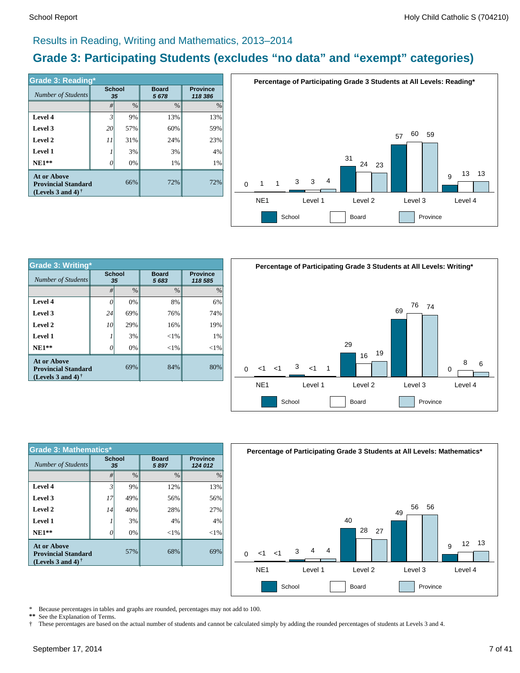#### Results in Reading, Writing and Mathematics, 2013–2014

# **Grade 3: Participating Students (excludes "no data" and "exempt" categories)**

| <b>Grade 3: Reading*</b>                                                       |                     |      |                      |                            |  |  |  |  |  |
|--------------------------------------------------------------------------------|---------------------|------|----------------------|----------------------------|--|--|--|--|--|
| Number of Students                                                             | <b>School</b><br>35 |      | <b>Board</b><br>5678 | <b>Province</b><br>118 386 |  |  |  |  |  |
|                                                                                | #                   | $\%$ | $\frac{0}{0}$        | $\%$                       |  |  |  |  |  |
| Level 4                                                                        | 3                   | 9%   | 13%                  | 13%                        |  |  |  |  |  |
| Level 3                                                                        | 20                  | 57%  | 60%                  | 59%                        |  |  |  |  |  |
| Level 2                                                                        | 11                  | 31%  | 24%                  | 23%                        |  |  |  |  |  |
| <b>Level 1</b>                                                                 |                     | 3%   | 3%                   | 4%                         |  |  |  |  |  |
| $NE1**$                                                                        | 0                   | 0%   | 1%                   | 1%                         |  |  |  |  |  |
| <b>At or Above</b><br><b>Provincial Standard</b><br>(Levels 3 and 4) $\dagger$ |                     | 66%  | 72%                  | 72%                        |  |  |  |  |  |



| <b>Grade 3: Writing*</b>                                                |               |               |                                                    |         | P.       |
|-------------------------------------------------------------------------|---------------|---------------|----------------------------------------------------|---------|----------|
| Number of Students                                                      | <b>School</b> | 35            | <b>Province</b><br><b>Board</b><br>5683<br>118 585 |         |          |
|                                                                         | #             | $\frac{0}{0}$ | $\frac{0}{0}$                                      | $\%$    |          |
| Level 4                                                                 | $\theta$      | 0%            | 8%                                                 | 6%      |          |
| Level 3                                                                 | 24            | 69%           | 76%                                                | 74%     |          |
| Level 2                                                                 | 10            | 29%           | 16%                                                | 19%     |          |
| <b>Level 1</b>                                                          |               | 3%            | $< 1\%$                                            | 1%      |          |
| $NE1**$                                                                 | 0             | 0%            | ${<}1\%$                                           | $< 1\%$ |          |
| At or Above<br><b>Provincial Standard</b><br>(Levels 3 and 4) $\dagger$ |               | 69%           | 84%                                                | 80%     | $\Omega$ |
|                                                                         |               |               |                                                    |         | N        |



| <b>Grade 3: Mathematics*</b>                                                          |                     |               |                      |                            |  |  |  |  |  |
|---------------------------------------------------------------------------------------|---------------------|---------------|----------------------|----------------------------|--|--|--|--|--|
| <b>Number of Students</b>                                                             | <b>School</b><br>35 |               | <b>Board</b><br>5897 | <b>Province</b><br>124 012 |  |  |  |  |  |
|                                                                                       | #                   | $\frac{0}{0}$ | $\frac{0}{0}$        | $\%$                       |  |  |  |  |  |
| Level 4                                                                               | 3                   | 9%            | 12%                  | 13%                        |  |  |  |  |  |
| Level 3                                                                               | 17                  | 49%           | 56%                  | 56%                        |  |  |  |  |  |
| Level 2                                                                               | 14                  | 40%           | 28%                  | 27%                        |  |  |  |  |  |
| Level 1                                                                               |                     | 3%            | 4%                   | 4%                         |  |  |  |  |  |
| $NE1**$                                                                               | 0                   | 0%            | $<$ 1%               | $<$ 1%                     |  |  |  |  |  |
| <b>At or Above</b><br>57%<br><b>Provincial Standard</b><br>(Levels 3 and 4) $\dagger$ |                     |               | 68%                  | 69%                        |  |  |  |  |  |



\* Because percentages in tables and graphs are rounded, percentages may not add to 100.

**\*\*** See the Explanation of Terms.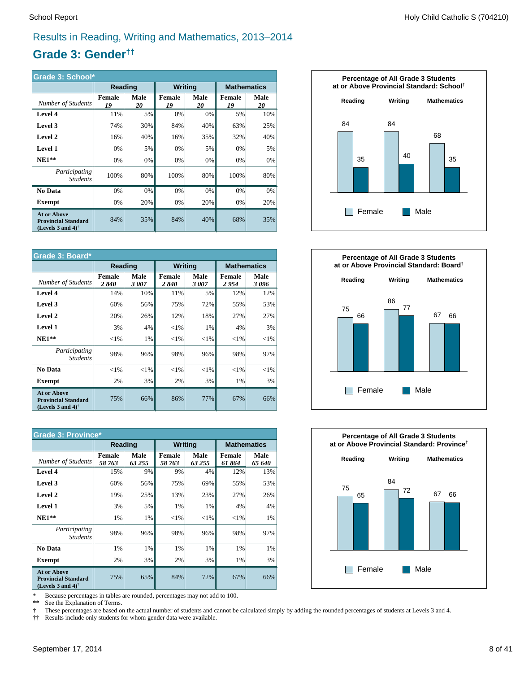#### Results in Reading, Writing and Mathematics, 2013–2014

# **Grade 3: Gender††**

| Grade 3: School*                                                                  |                     |            |                     |                   |                     |            |  |  |
|-----------------------------------------------------------------------------------|---------------------|------------|---------------------|-------------------|---------------------|------------|--|--|
|                                                                                   | Reading             |            | <b>Writing</b>      |                   | <b>Mathematics</b>  |            |  |  |
| Number of Students                                                                | <b>Female</b><br>19 | Male<br>20 | <b>Female</b><br>19 | <b>Male</b><br>20 | <b>Female</b><br>19 | Male<br>20 |  |  |
| Level 4                                                                           | 11%                 | 5%         | 0%                  | 0%                | 5%                  | 10%        |  |  |
| Level 3                                                                           | 74%                 | 30%        | 84%                 | 40%               | 63%                 | 25%        |  |  |
| Level 2                                                                           | 16%                 | 40%        | 16%                 | 35%               | 32%                 | 40%        |  |  |
| <b>Level 1</b>                                                                    | 0%                  | 5%         | 0%                  | 5%                | 0%                  | 5%         |  |  |
| $NE1**$                                                                           | 0%                  | 0%         | 0%                  | 0%                | 0%                  | 0%         |  |  |
| Participating<br><i>Students</i>                                                  | 100%                | 80%        | 100%                | 80%               | 100%                | 80%        |  |  |
| No Data                                                                           | 0%                  | $0\%$      | 0%                  | 0%                | 0%                  | 0%         |  |  |
| Exempt                                                                            | 0%                  | 20%        | 0%                  | 20%               | 0%                  | 20%        |  |  |
| <b>At or Above</b><br><b>Provincial Standard</b><br>(Levels 3 and 4) <sup>†</sup> | 84%                 | 35%        | 84%                 | 40%               | 68%                 | 35%        |  |  |

| Grade 3: Board*                                                                |                |              |                       |              |                    |              |  |
|--------------------------------------------------------------------------------|----------------|--------------|-----------------------|--------------|--------------------|--------------|--|
|                                                                                | Reading        |              | <b>Writing</b>        |              | <b>Mathematics</b> |              |  |
| Number of Students                                                             | Female<br>2840 | Male<br>3007 | <b>Female</b><br>2840 | Male<br>3007 | Female<br>2954     | Male<br>3096 |  |
| Level 4                                                                        | 14%            | 10%          | 11%                   | 5%           | 12%                | 12%          |  |
| Level 3                                                                        | 60%            | 56%          | 75%                   | 72%          | 55%                | 53%          |  |
| Level 2                                                                        | 20%            | 26%          | 12%                   | 18%          | 27%                | 27%          |  |
| <b>Level 1</b>                                                                 | 3%             | 4%           | ${<}1\%$              | 1%           | 4%                 | 3%           |  |
| $NE1**$                                                                        | ${<}1\%$       | 1%           | ${<}1\%$              | ${<}1\%$     | ${<}1\%$           | ${<}1\%$     |  |
| Participating<br><i>Students</i>                                               | 98%            | 96%          | 98%                   | 96%          | 98%                | 97%          |  |
| No Data                                                                        | ${<}1\%$       | ${<}1\%$     | ${<}1\%$              | ${<}1\%$     | $<$ 1%             | $<$ 1%       |  |
| Exempt                                                                         | 2%             | 3%           | 2%                    | 3%           | 1%                 | 3%           |  |
| <b>At or Above</b><br><b>Provincial Standard</b><br>(Levels 3 and 4) $\dagger$ | 75%            | 66%          | 86%                   | 77%          | 67%                | 66%          |  |

| <b>Grade 3: Province*</b>                                                                            |                         |                |                         |                |                    |                |  |  |
|------------------------------------------------------------------------------------------------------|-------------------------|----------------|-------------------------|----------------|--------------------|----------------|--|--|
|                                                                                                      | Reading                 |                | <b>Writing</b>          |                | <b>Mathematics</b> |                |  |  |
| Number of Students                                                                                   | <b>Female</b><br>58 763 | Male<br>63 255 | <b>Female</b><br>58 763 | Male<br>63 255 | Female<br>61 864   | Male<br>65 640 |  |  |
| Level 4                                                                                              | 15%                     | 9%             | 9%                      | 4%             | 12%                | 13%            |  |  |
| Level 3                                                                                              | 60%                     | 56%            | 75%                     | 69%            | 55%                | 53%            |  |  |
| Level 2                                                                                              | 19%                     | 25%            | 13%                     | 23%            | 27%                | 26%            |  |  |
| <b>Level 1</b>                                                                                       | 3%                      | 5%             | 1%                      | 1%             | 4%                 | 4%             |  |  |
| $NE1**$                                                                                              | 1%                      | 1%             | ${<}1\%$                | ${<}1\%$       | ${<}1\%$           | 1%             |  |  |
| Participating<br><i>Students</i>                                                                     | 98%                     | 96%            | 98%                     | 96%            | 98%                | 97%            |  |  |
| No Data                                                                                              | 1%                      | 1%             | 1%                      | 1%             | 1%                 | 1%             |  |  |
| <b>Exempt</b>                                                                                        | 2%                      | 3%             | 2%                      | 3%             | 1%                 | 3%             |  |  |
| <b>At or Above</b><br><b>Provincial Standard</b><br>(Levels 3 and 4) <sup><math>\dagger</math></sup> | 75%                     | 65%            | 84%                     | 72%            | 67%                | 66%            |  |  |

\* Because percentages in tables are rounded, percentages may not add to 100.

 **\*\*** See the Explanation of Terms.

 † †† These percentages are based on the actual number of students and cannot be calculated simply by adding the rounded percentages of students at Levels 3 and 4.

Results include only students for whom gender data were available.





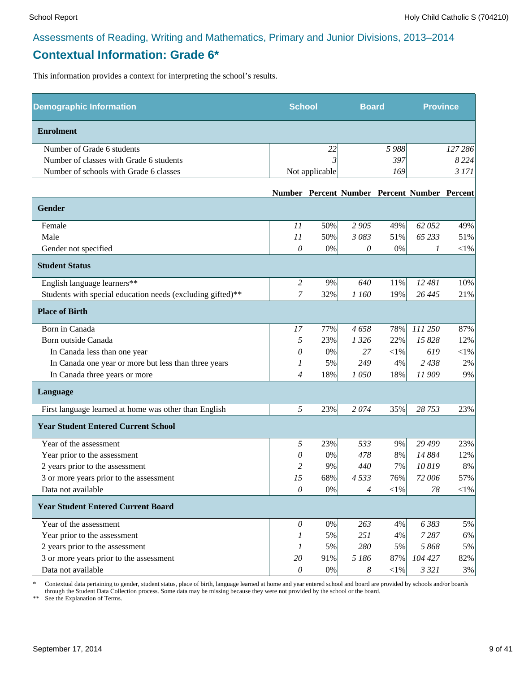# **Contextual Information: Grade 6\***

This information provides a context for interpreting the school's results.

| <b>Demographic Information</b>                             | <b>School</b>             |                | <b>Board</b>          |            | <b>Province</b>                              |            |
|------------------------------------------------------------|---------------------------|----------------|-----------------------|------------|----------------------------------------------|------------|
| <b>Enrolment</b>                                           |                           |                |                       |            |                                              |            |
| Number of Grade 6 students                                 |                           | 22             |                       | 5988       |                                              | 127 286    |
| Number of classes with Grade 6 students                    |                           | 3              |                       | 397        |                                              | 8 2 2 4    |
| Number of schools with Grade 6 classes                     |                           | Not applicable |                       | 169        |                                              | 3 171      |
|                                                            |                           |                |                       |            | Number Percent Number Percent Number Percent |            |
| <b>Gender</b>                                              |                           |                |                       |            |                                              |            |
| Female                                                     | 11                        | 50%            | 2 9 0 5               | 49%        | 62 052                                       | 49%        |
| Male                                                       | 11                        | 50%            | 3 083                 | 51%        | 65 233                                       | 51%        |
| Gender not specified                                       | 0                         | $0\%$          | $\theta$              | 0%         | 1                                            | $<\!\!1\%$ |
| <b>Student Status</b>                                      |                           |                |                       |            |                                              |            |
| English language learners**                                | $\overline{c}$            | 9%             | 640                   | 11%        | 12 481                                       | 10%        |
| Students with special education needs (excluding gifted)** | 7                         | 32%            | 1 160                 | 19%        | 26 4 45                                      | 21%        |
| <b>Place of Birth</b>                                      |                           |                |                       |            |                                              |            |
| Born in Canada                                             | 17                        | 77%            | 4658                  | 78%        | 111 250                                      | 87%        |
| Born outside Canada                                        | 5                         | 23%            | 1 3 2 6               | 22%        | 15 828                                       | 12%        |
| In Canada less than one year                               | 0                         | 0%             | 27                    | $<\!\!1\%$ | 619                                          | $<\!\!1\%$ |
| In Canada one year or more but less than three years       | 1                         | 5%             | 249                   | 4%         | 2 4 3 8                                      | $2\%$      |
| In Canada three years or more                              | $\overline{4}$            | 18%            | 1050                  | 18%        | 11909                                        | 9%         |
| Language                                                   |                           |                |                       |            |                                              |            |
| First language learned at home was other than English      | 5                         | 23%            | 2074                  | 35%        | 28 753                                       | 23%        |
| <b>Year Student Entered Current School</b>                 |                           |                |                       |            |                                              |            |
| Year of the assessment                                     | 5                         | 23%            | 533                   | 9%         | 29 4 99                                      | 23%        |
| Year prior to the assessment                               | 0                         | $0\%$          | 478                   | 8%         | 14 884                                       | 12%        |
| 2 years prior to the assessment                            | 2                         | 9%             | 440                   | 7%         | 10819                                        | 8%         |
| 3 or more years prior to the assessment                    | 15                        | 68%            | 4533                  | 76%        | 72 006                                       | 57%        |
| Data not available                                         | 0                         | $0\%$          | 4                     | $<\!\!1\%$ | 78                                           | $<$ 1%     |
| <b>Year Student Entered Current Board</b>                  |                           |                |                       |            |                                              |            |
| Year of the assessment                                     | 0                         | 0%             | 263                   | 4%         | 6383                                         | 5%         |
| Year prior to the assessment                               | 1                         | 5%             | 251                   | 4%         | 7287                                         | 6%         |
| 2 years prior to the assessment                            | 1                         | 5%             | 280                   | 5%         | 5 868                                        | 5%         |
| 3 or more years prior to the assessment                    | 20                        | 91%            | 5 186                 | 87%        | 104 427                                      | 82%        |
| Data not available                                         | $\boldsymbol{\mathit{0}}$ | $0\%$          | $\boldsymbol{\delta}$ | $<\!\!1\%$ | 3 3 2 1                                      | 3%         |

\* Contextual data pertaining to gender, student status, place of birth, language learned at home and year entered school and board are provided by schools and/or boards through the Student Data Collection process. Some data may be missing because they were not provided by the school or the board.

\*\* See the Explanation of Terms.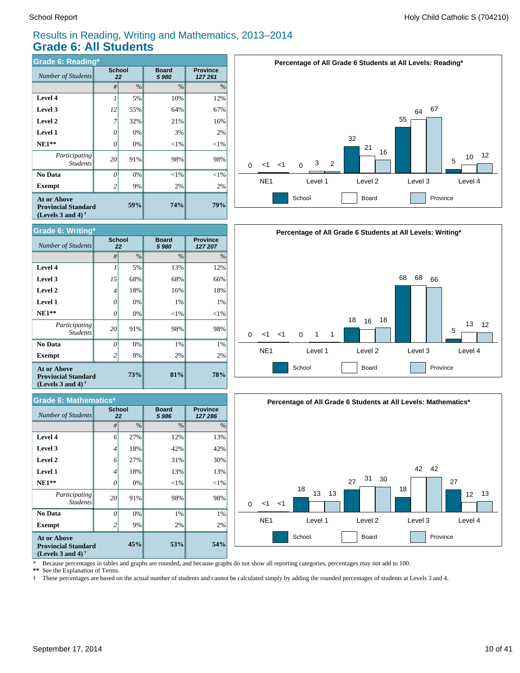#### Results in Reading, Writing and Mathematics, 2013–2014 **Grade 6: All Students**

| <b>Grade 6: Reading*</b>                                                       |          |                     |                       |                            |  |  |  |  |  |
|--------------------------------------------------------------------------------|----------|---------------------|-----------------------|----------------------------|--|--|--|--|--|
| Number of Students                                                             |          | <b>School</b><br>22 | <b>Board</b><br>5 980 | <b>Province</b><br>127 261 |  |  |  |  |  |
|                                                                                | #        | $\%$                | $\frac{0}{0}$         | $\%$                       |  |  |  |  |  |
| Level 4                                                                        | 1        | 5%                  | 10%                   | 12%                        |  |  |  |  |  |
| Level 3                                                                        | 12       | 55%                 | 64%                   | 67%                        |  |  |  |  |  |
| Level 2                                                                        | 7        | 32%                 | 21%                   | 16%                        |  |  |  |  |  |
| Level 1                                                                        | 0        | 0%                  | 3%                    | 2%                         |  |  |  |  |  |
| $NE1**$                                                                        | 0        | 0%                  | $<$ 1%                | $<$ 1%                     |  |  |  |  |  |
| Participating<br><b>Students</b>                                               | 20       | 91%                 | 98%                   | 98%                        |  |  |  |  |  |
| <b>No Data</b>                                                                 | $\theta$ | 0%                  | $<$ 1%                | $<$ 1%                     |  |  |  |  |  |
| Exempt                                                                         | 2        | 9%                  | 2%                    | 2%                         |  |  |  |  |  |
| <b>At or Above</b><br><b>Provincial Standard</b><br>(Levels 3 and 4) $\dagger$ |          | 59%                 | <b>74%</b>            | 79%                        |  |  |  |  |  |



| <b>Grade 6: Mathematics*</b>                                                                         |                     |      |                      |                            |  |  |  |  |
|------------------------------------------------------------------------------------------------------|---------------------|------|----------------------|----------------------------|--|--|--|--|
| <b>Number of Students</b>                                                                            | <b>School</b><br>22 |      | <b>Board</b><br>5986 | <b>Province</b><br>127 286 |  |  |  |  |
|                                                                                                      | #                   | $\%$ | $\%$                 | $\%$                       |  |  |  |  |
| Level 4                                                                                              | 6                   | 27%  | 12%                  | 13%                        |  |  |  |  |
| Level 3                                                                                              | $\overline{4}$      | 18%  | 42%                  | 42%                        |  |  |  |  |
| Level 2                                                                                              | 6                   | 27%  | 31%                  | 30%                        |  |  |  |  |
| <b>Level 1</b>                                                                                       | $\overline{4}$      | 18%  | 13%                  | 13%                        |  |  |  |  |
| $NE1**$                                                                                              | 0                   | 0%   | $<$ 1%               | ${<}1\%$                   |  |  |  |  |
| Participating<br><b>Students</b>                                                                     | 20                  | 91%  | 98%                  | 98%                        |  |  |  |  |
| No Data                                                                                              | $\Omega$            | 0%   | 1%                   | 1%                         |  |  |  |  |
| <b>Exempt</b>                                                                                        | 2                   | 9%   | 2%                   | 2%                         |  |  |  |  |
| <b>At or Above</b><br><b>Provincial Standard</b><br>(Levels 3 and 4) <sup><math>\dagger</math></sup> |                     | 45%  | 53%                  | 54%                        |  |  |  |  |







\* Because percentages in tables and graphs are rounded, and because graphs do not show all reporting categories, percentages may not add to 100.

**\*\*** See the Explanation of Terms.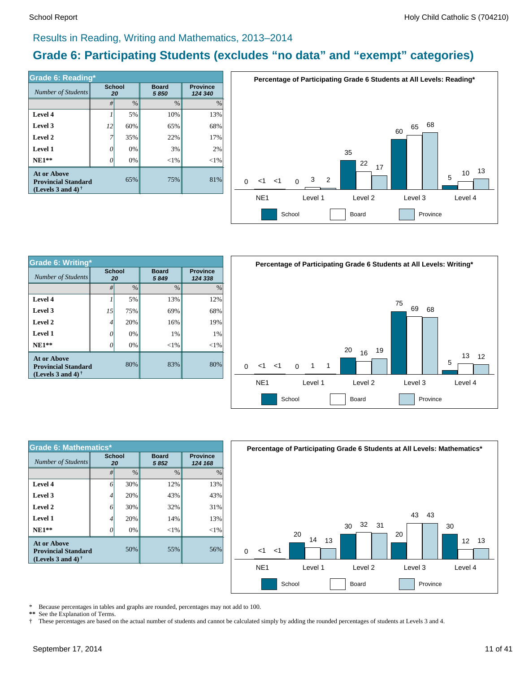#### Results in Reading, Writing and Mathematics, 2013–2014

# **Grade 6: Participating Students (excludes "no data" and "exempt" categories)**

| Grade 6: Reading*                                                              |                     |      |                         |                            |  |  |  |  |
|--------------------------------------------------------------------------------|---------------------|------|-------------------------|----------------------------|--|--|--|--|
| Number of Students                                                             | <b>School</b><br>20 |      | <b>Board</b><br>5 8 5 0 | <b>Province</b><br>124 340 |  |  |  |  |
|                                                                                | #                   | $\%$ | $\%$                    | %                          |  |  |  |  |
| Level 4                                                                        |                     | 5%   | 10%                     | 13%                        |  |  |  |  |
| Level 3                                                                        | 12                  | 60%  | 65%                     | 68%                        |  |  |  |  |
| Level 2                                                                        | 7                   | 35%  | 22%                     | 17%                        |  |  |  |  |
| <b>Level 1</b>                                                                 | 0                   | 0%   | 3%                      | 2%                         |  |  |  |  |
| $NE1**$                                                                        |                     | 0%   | $<$ 1%                  | $<$ 1%                     |  |  |  |  |
| <b>At or Above</b><br><b>Provincial Standard</b><br>(Levels 3 and 4) $\dagger$ |                     | 65%  | 75%                     | 81%                        |  |  |  |  |



| Grade 6: Writing*                                                       |                     |               |                      |        |  |
|-------------------------------------------------------------------------|---------------------|---------------|----------------------|--------|--|
| Number of Students                                                      | <b>School</b><br>20 |               | <b>Board</b><br>5849 |        |  |
|                                                                         | #                   | $\frac{0}{0}$ | $\frac{0}{0}$        | $\%$   |  |
| Level 4                                                                 |                     | 5%            | 13%                  | 12%    |  |
| Level 3                                                                 | 15                  | 75%           | 69%                  | 68%    |  |
| Level 2                                                                 | 4                   | 20%           | 16%                  | 19%    |  |
| <b>Level 1</b>                                                          | 0                   | 0%            | 1%                   | 1%     |  |
| $NE1**$                                                                 |                     | 0%            | $< 1\%$              | $<$ 1% |  |
| At or Above<br><b>Provincial Standard</b><br>(Levels 3 and 4) $\dagger$ |                     | 80%           | 83%                  | 80%    |  |



| <b>Grade 6: Mathematics*</b>                                                                         |              |               |                      |                            |  |  |  |  |
|------------------------------------------------------------------------------------------------------|--------------|---------------|----------------------|----------------------------|--|--|--|--|
| Number of Students                                                                                   | School<br>20 |               | <b>Board</b><br>5852 | <b>Province</b><br>124 168 |  |  |  |  |
|                                                                                                      | #            | $\frac{0}{0}$ | $\frac{0}{0}$        | $\frac{0}{0}$              |  |  |  |  |
| <b>Level 4</b>                                                                                       | 6            | 30%           | 12%                  | 13%                        |  |  |  |  |
| Level 3                                                                                              | 4            | 20%           | 43%                  | 43%                        |  |  |  |  |
| Level 2                                                                                              | 6            | 30%           | 32%                  | 31%                        |  |  |  |  |
| <b>Level 1</b>                                                                                       | 4            | 20%           | 14%                  | 13%                        |  |  |  |  |
| $NE1**$                                                                                              | 0            | 0%            | $<$ 1%               | ${<}1\%$                   |  |  |  |  |
| <b>At or Above</b><br><b>Provincial Standard</b><br>(Levels 3 and 4) <sup><math>\dagger</math></sup> |              | 50%           | 55%                  | 56%                        |  |  |  |  |



\* Because percentages in tables and graphs are rounded, percentages may not add to 100.

\*\* See the Explanation of Terms.<br>† These percentages are based o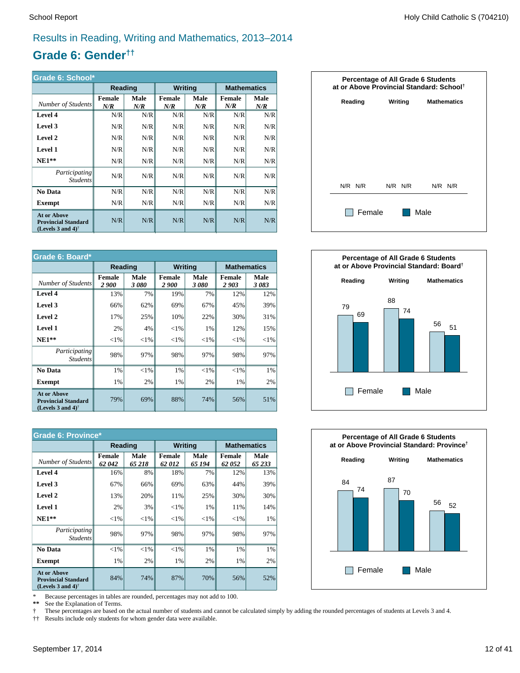#### Results in Reading, Writing and Mathematics, 2013–2014

# **Grade 6: Gender††**

| Grade 6: School*                                                                  |               |                    |                      |             |                    |             |  |
|-----------------------------------------------------------------------------------|---------------|--------------------|----------------------|-------------|--------------------|-------------|--|
|                                                                                   | Reading       |                    | <b>Writing</b>       |             | <b>Mathematics</b> |             |  |
| Number of Students                                                                | Female<br>N/R | <b>Male</b><br>N/R | <b>Female</b><br>N/R | Male<br>N/R | Female<br>N/R      | Male<br>N/R |  |
| <b>Level 4</b>                                                                    | N/R           | N/R                | N/R                  | N/R         | N/R                | N/R         |  |
| Level 3                                                                           | N/R           | N/R                | N/R                  | N/R         | N/R                | N/R         |  |
| Level 2                                                                           | N/R           | N/R                | N/R                  | N/R         | N/R                | N/R         |  |
| <b>Level 1</b>                                                                    | N/R           | N/R                | N/R                  | N/R         | N/R                | N/R         |  |
| $NE1**$                                                                           | N/R           | N/R                | N/R                  | N/R         | N/R                | N/R         |  |
| Participating<br><b>Students</b>                                                  | N/R           | N/R                | N/R                  | N/R         | N/R                | N/R         |  |
| <b>No Data</b>                                                                    | N/R           | N/R                | N/R                  | N/R         | N/R                | N/R         |  |
| <b>Exempt</b>                                                                     | N/R           | N/R                | N/R                  | N/R         | N/R                | N/R         |  |
| <b>At or Above</b><br><b>Provincial Standard</b><br>(Levels 3 and 4) <sup>†</sup> | N/R           | N/R                | N/R                  | N/R         | N/R                | N/R         |  |

| Grade 6: Board*                                                                                      |                       |              |                               |              |                       |                    |  |
|------------------------------------------------------------------------------------------------------|-----------------------|--------------|-------------------------------|--------------|-----------------------|--------------------|--|
|                                                                                                      | Reading               |              | <b>Writing</b>                |              |                       | <b>Mathematics</b> |  |
| Number of Students                                                                                   | <b>Female</b><br>2900 | Male<br>3080 | <b>Female</b><br><i>2 900</i> | Male<br>3080 | <b>Female</b><br>2903 | Male<br>3083       |  |
| Level 4                                                                                              | 13%                   | 7%           | 19%                           | 7%           | 12%                   | 12%                |  |
| Level 3                                                                                              | 66%                   | 62%          | 69%                           | 67%          | 45%                   | 39%                |  |
| Level 2                                                                                              | 17%                   | 25%          | 10%                           | 22%          | 30%                   | 31%                |  |
| <b>Level 1</b>                                                                                       | 2%                    | 4%           | ${<}1\%$                      | 1%           | 12%                   | 15%                |  |
| $NE1**$                                                                                              | ${<}1\%$              | ${<}1\%$     | ${<}1\%$                      | ${<}1\%$     | $<$ 1%                | ${<}1\%$           |  |
| <i>Participating</i><br><b>Students</b>                                                              | 98%                   | 97%          | 98%                           | 97%          | 98%                   | 97%                |  |
| No Data                                                                                              | 1%                    | ${<}1\%$     | 1%                            | $< 1\%$      | $<$ 1%                | $1\%$              |  |
| <b>Exempt</b>                                                                                        | 1%                    | 2%           | 1%                            | 2%           | 1%                    | 2%                 |  |
| <b>At or Above</b><br><b>Provincial Standard</b><br>(Levels 3 and 4) <sup><math>\dagger</math></sup> | 79%                   | 69%          | 88%                           | 74%          | 56%                   | 51%                |  |

| <b>Grade 6: Province*</b>                                                                            |                        |               |                        |                |                        |                |  |
|------------------------------------------------------------------------------------------------------|------------------------|---------------|------------------------|----------------|------------------------|----------------|--|
|                                                                                                      | Reading                |               | <b>Writing</b>         |                | <b>Mathematics</b>     |                |  |
| Number of Students                                                                                   | <b>Female</b><br>62042 | Male<br>65218 | <b>Female</b><br>62012 | Male<br>65 194 | <b>Female</b><br>62052 | Male<br>65 233 |  |
| Level 4                                                                                              | 16%                    | 8%            | 18%                    | 7%             | 12%                    | 13%            |  |
| Level 3                                                                                              | 67%                    | 66%           | 69%                    | 63%            | 44%                    | 39%            |  |
| Level 2                                                                                              | 13%                    | 20%           | 11%                    | 25%            | 30%                    | 30%            |  |
| <b>Level 1</b>                                                                                       | 2%                     | 3%            | $<$ 1%                 | 1%             | 11%                    | 14%            |  |
| $NE1**$                                                                                              | ${<}1\%$               | ${<}1\%$      | ${<}1\%$               | ${<}1\%$       | ${<}1\%$               | 1%             |  |
| Participating<br><b>Students</b>                                                                     | 98%                    | 97%           | 98%                    | 97%            | 98%                    | 97%            |  |
| No Data                                                                                              | ${<}1\%$               | $<$ 1%        | $<$ 1%                 | 1%             | 1%                     | 1%             |  |
| <b>Exempt</b>                                                                                        | 1%                     | 2%            | 1%                     | 2%             | 1%                     | 2%             |  |
| <b>At or Above</b><br><b>Provincial Standard</b><br>(Levels 3 and 4) <sup><math>\dagger</math></sup> | 84%                    | 74%           | 87%                    | 70%            | 56%                    | 52%            |  |

\* Because percentages in tables are rounded, percentages may not add to 100.

 **\*\*** See the Explanation of Terms.

 † †† These percentages are based on the actual number of students and cannot be calculated simply by adding the rounded percentages of students at Levels 3 and 4.

Results include only students for whom gender data were available.





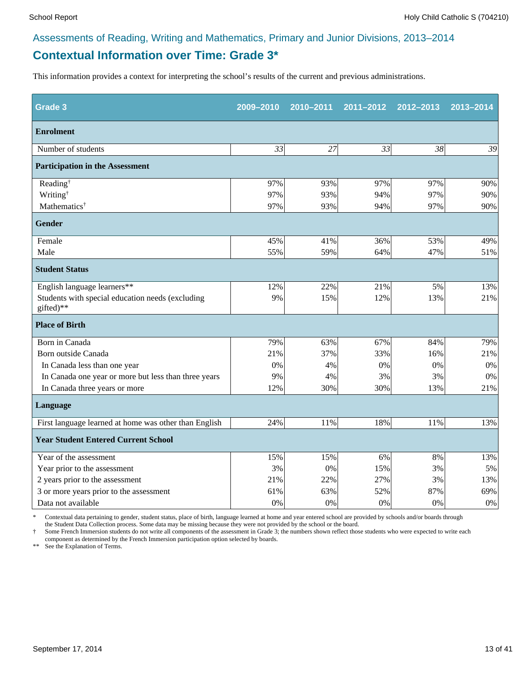# **Contextual Information over Time: Grade 3\***

This information provides a context for interpreting the school's results of the current and previous administrations.

| Grade <sub>3</sub>                                            | 2009-2010 | 2010-2011 | 2011-2012 | 2012-2013 | 2013-2014 |
|---------------------------------------------------------------|-----------|-----------|-----------|-----------|-----------|
| <b>Enrolment</b>                                              |           |           |           |           |           |
| Number of students                                            | 33        | 27        | 33        | 38        | 39        |
| <b>Participation in the Assessment</b>                        |           |           |           |           |           |
| Reading <sup>†</sup>                                          | 97%       | 93%       | 97%       | 97%       | 90%       |
| Writing <sup>†</sup>                                          | 97%       | 93%       | 94%       | 97%       | 90%       |
| Mathematics <sup>†</sup>                                      | 97%       | 93%       | 94%       | 97%       | 90%       |
| <b>Gender</b>                                                 |           |           |           |           |           |
| Female                                                        | 45%       | 41%       | 36%       | 53%       | 49%       |
| Male                                                          | 55%       | 59%       | 64%       | 47%       | 51%       |
| <b>Student Status</b>                                         |           |           |           |           |           |
| English language learners**                                   | 12%       | 22%       | 21%       | 5%        | 13%       |
| Students with special education needs (excluding<br>gifted)** | 9%        | 15%       | 12%       | 13%       | 21%       |
| <b>Place of Birth</b>                                         |           |           |           |           |           |
| Born in Canada                                                | 79%       | 63%       | 67%       | 84%       | 79%       |
| Born outside Canada                                           | 21%       | 37%       | 33%       | 16%       | 21%       |
| In Canada less than one year                                  | 0%        | 4%        | 0%        | 0%        | 0%        |
| In Canada one year or more but less than three years          | 9%        | 4%        | 3%        | 3%        | 0%        |
| In Canada three years or more                                 | 12%       | 30%       | 30%       | 13%       | 21%       |
| <b>Language</b>                                               |           |           |           |           |           |
| First language learned at home was other than English         | 24%       | 11%       | 18%       | 11%       | 13%       |
| <b>Year Student Entered Current School</b>                    |           |           |           |           |           |
| Year of the assessment                                        | 15%       | 15%       | 6%        | 8%        | 13%       |
| Year prior to the assessment                                  | 3%        | 0%        | 15%       | 3%        | 5%        |
| 2 years prior to the assessment                               | 21%       | 22%       | 27%       | 3%        | 13%       |
| 3 or more years prior to the assessment                       | 61%       | 63%       | 52%       | 87%       | 69%       |
| Data not available                                            | 0%        | 0%        | 0%        | 0%        | $0\%$     |

\* Contextual data pertaining to gender, student status, place of birth, language learned at home and year entered school are provided by schools and/or boards through the Student Data Collection process. Some data may be missing because they were not provided by the school or the board.

† Some French Immersion students do not write all components of the assessment in Grade 3; the numbers shown reflect those students who were expected to write each component as determined by the French Immersion participation option selected by boards.

\*\* See the Explanation of Terms.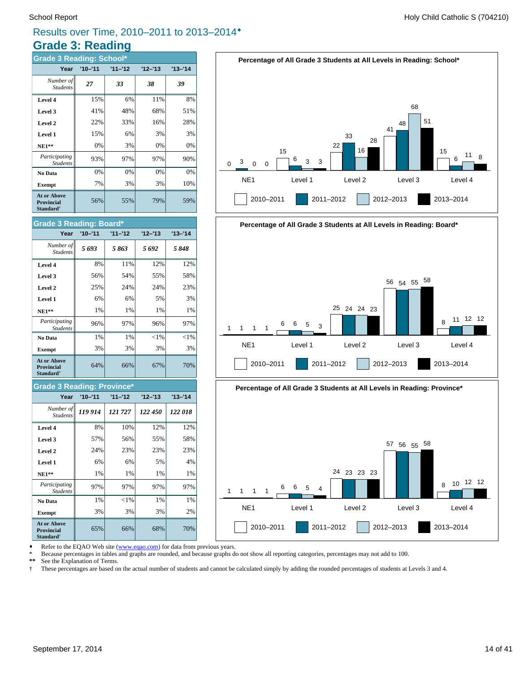#### **Grade 3: Reading** Results over Time, 2010–2011 to 2013–2014®

#### 56% 55% 79% 59% **Exempt**  $\begin{vmatrix} 7\% & 3\% \end{vmatrix}$  3% 3% 10% **No Data**  $\begin{vmatrix} 0\% & 0\% \end{vmatrix}$  0% 0% 0% 0%  $Participating$ 93% 97% 97% 90% *StudentsX* **NE1\*\***  $\begin{array}{|c|c|c|c|c|} \hline \text{N}} \text{E1}^* & 0\% & 3\% & 0\% \hline \end{array}$ **Level 1**  $\begin{array}{|c|c|c|c|} \hline \end{array}$  15% 6% 3% 3% **Level 2**  $\begin{vmatrix} 2 & 22\% & 33\% \end{vmatrix}$  16% 28% **Level 3** 41% 48% 68% 51% **Level 4**  $\begin{vmatrix} 15\% & 6\% \end{vmatrix}$  11% 8% *<sup>27</sup> <sup>33</sup> <sup>38</sup> <sup>39</sup> Number of Students* **Year '10–'11 '11–'12 '12–'13 '13–'14 Grade 3 Reading: School\* At or Above Provincial Standard**†

| <b>Grade 3 Reading: Board*</b>                            |             |           |           |           |  |  |  |  |
|-----------------------------------------------------------|-------------|-----------|-----------|-----------|--|--|--|--|
| Year                                                      | $'10 - '11$ | $11 - 12$ | $12 - 13$ | $13 - 14$ |  |  |  |  |
| Number of<br><b>Students</b>                              | 5693        | 5863      | 5692      | 5848      |  |  |  |  |
| Level 4                                                   | 8%          | 11%       | 12%       | 12%       |  |  |  |  |
| Level 3                                                   | 56%         | 54%       | 55%       | 58%       |  |  |  |  |
| Level 2                                                   | 25%         | 24%       | 24%       | 23%       |  |  |  |  |
| Level 1                                                   | 6%          | 6%        | 5%        | 3%        |  |  |  |  |
| $NE1**$                                                   | 1%          | 1%        | 1%        | 1%        |  |  |  |  |
| Participating<br><b>Students</b>                          | 96%         | 97%       | 96%       | 97%       |  |  |  |  |
| No Data                                                   | 1%          | 1%        | $<$ 1%    | $<$ 1%    |  |  |  |  |
| <b>Exempt</b>                                             | 3%          | 3%        | 3%        | 3%        |  |  |  |  |
| At or Above<br><b>Provincial</b><br>Standard <sup>†</sup> | 64%         | 66%       | 67%       | 70%       |  |  |  |  |

#### **Grade 3 Reading: Province\***

| Year                                                                    | $'10 - '11$ | $11 - 12$ | $12 - 13$ | $13 - 14$ |
|-------------------------------------------------------------------------|-------------|-----------|-----------|-----------|
| Number of<br><b>Students</b>                                            | 119 914     | 121727    | 122 450   | 122018    |
| Level 4                                                                 | 8%          | 10%       | 12%       | 12%       |
| Level 3                                                                 | 57%         | 56%       | 55%       | 58%       |
| Level 2                                                                 | 24%         | 23%       | 23%       | 23%       |
| Level 1                                                                 | 6%          | 6%        | 5%        | 4%        |
| <b>NE1**</b>                                                            | 1%          | 1%        | 1%        | 1%        |
| Participating<br><b>Students</b>                                        | 97%         | 97%       | 97%       | 97%       |
| No Data                                                                 | 1%          | $<$ 1%    | 1%        | 1%        |
| <b>Exempt</b>                                                           | 3%          | 3%        | 3%        | 2%        |
| <b>At or Above</b><br><b>Provincial</b><br><b>Standard</b> <sup>†</sup> | 65%         | 66%       | 68%       | 70%       |









Refer to the EQAO Web site (www.eqao.com) for data from previous years.

\* Because percentages in tables and graphs are rounded, and because graphs do not show all reporting categories, percentages may not add to 100.

 **\*\*** See the Explanation of Terms.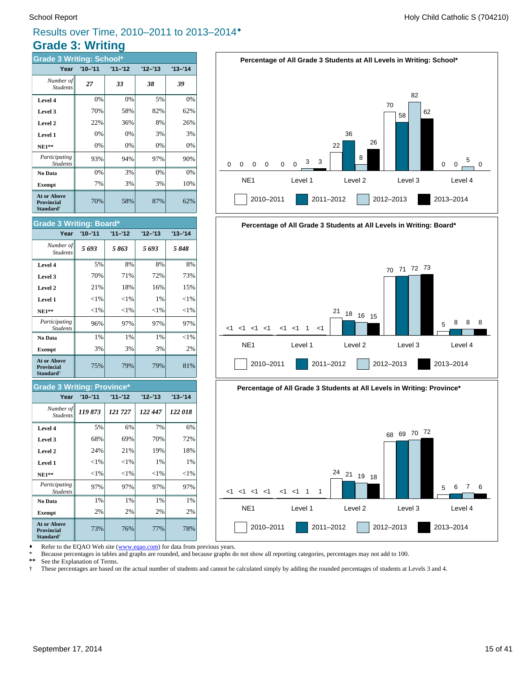# **Grade 3: Writing** Results over Time, 2010–2011 to 2013–2014®

| <b>Grade 3 Writing: School*</b>                                  |             |           |           |           |  |  |  |  |
|------------------------------------------------------------------|-------------|-----------|-----------|-----------|--|--|--|--|
| Year                                                             | $'10 - '11$ | $11 - 12$ | $12 - 13$ | $13 - 14$ |  |  |  |  |
| Number of<br><b>Students</b>                                     | 27          | 33        | 38        | 39        |  |  |  |  |
| Level 4                                                          | 0%          | 0%        | 5%        | 0%        |  |  |  |  |
| Level 3                                                          | 70%         | 58%       | 82%       | 62%       |  |  |  |  |
| Level 2                                                          | 22%         | 36%       | 8%        | 26%       |  |  |  |  |
| Level 1                                                          | 0%          | 0%        | 3%        | 3%        |  |  |  |  |
| $NE1**$                                                          | 0%          | 0%        | 0%        | 0%        |  |  |  |  |
| Participating<br><b>Students</b>                                 | 93%         | 94%       | 97%       | 90%       |  |  |  |  |
| No Data                                                          | 0%          | 3%        | 0%        | 0%        |  |  |  |  |
| <b>Exempt</b>                                                    | 7%          | 3%        | 3%        | 10%       |  |  |  |  |
| <b>At or Above</b><br><b>Provincial</b><br>Standard <sup>†</sup> | 70%         | 58%       | 87%       | 62%       |  |  |  |  |







Refer to the EQAO Web site (www.eqao.com) for data from previous years.

\* Because percentages in tables and graphs are rounded, and because graphs do not show all reporting categories, percentages may not add to 100.

 **\*\*** See the Explanation of Terms.

 † These percentages are based on the actual number of students and cannot be calculated simply by adding the rounded percentages of students at Levels 3 and 4.

**Level 2**  $\begin{array}{|c|c|c|c|c|} \hline \end{array}$  21% 18% 16% 16% 15% **Level 3** 70% 71% 72% 73% **Level 4** 5% 8% 8% 8% 8%

**Grade 3 Writing: Board\***

*Students*

| ${<}1\%$ | ${<}1\%$ | 1%       | ${<}1%$ |
|----------|----------|----------|---------|
| ${<}1\%$ | ${<}1\%$ | ${<}1\%$ | ${<}1%$ |
| 96%      | 97%      | 97%      | 97%     |
| 1%       | 1%       | 1%       | ${<}1%$ |
| 3%       | 3%       | 3%       | 2%      |
| 75%      | 79%      | 79%      | 81%     |
|          |          |          |         |

*5 693 5 863 5 693 5 848 Number of*

**Year '10–'11 '11–'12 '12–'13 '13–'14**

#### **Grade 3 Writing: Province\***

| Year                                                             | $'10 - '11$ | $11 - 12$ | $12 - 13$ | $13 - 14$ |
|------------------------------------------------------------------|-------------|-----------|-----------|-----------|
| Number of<br><b>Students</b>                                     | 119873      | 121 727   | 122 447   | 122 018   |
| Level 4                                                          | 5%          | 6%        | 7%        | 6%        |
| Level 3                                                          | 68%         | 69%       | 70%       | 72%       |
| Level 2                                                          | 24%         | 21%       | 19%       | 18%       |
| Level 1                                                          | ${<}1\%$    | ${<}1\%$  | 1%        | 1%        |
| $NE1**$                                                          | $<$ 1%      | ${<}1\%$  | ${<}1\%$  | ${<}1\%$  |
| Participating<br><b>Students</b>                                 | 97%         | 97%       | 97%       | 97%       |
| No Data                                                          | 1%          | 1%        | 1%        | 1%        |
| <b>Exempt</b>                                                    | 2%          | 2%        | 2%        | 2%        |
| <b>At or Above</b><br><b>Provincial</b><br>Standard <sup>†</sup> | 73%         | 76%       | 77%       | 78%       |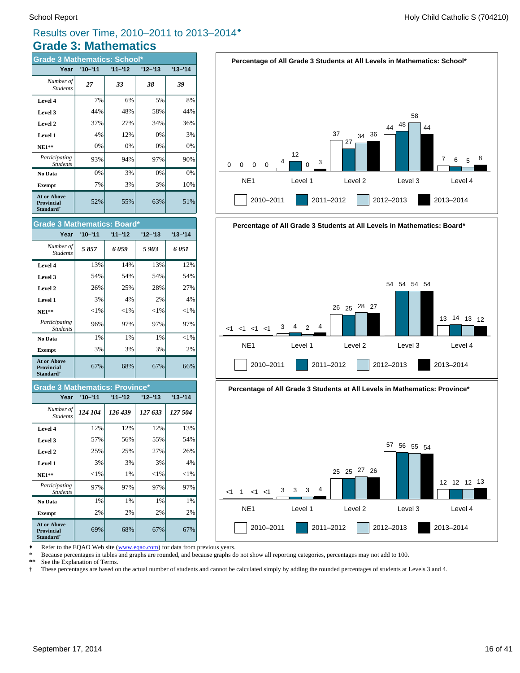#### **Grade 3: Mathematics** Results over Time, 2010–2011 to 2013–2014®

| <b>Grade 3 Mathematics: School*</b>                              |             |           |           |           |  |  |  |  |  |
|------------------------------------------------------------------|-------------|-----------|-----------|-----------|--|--|--|--|--|
| Year                                                             | $'10 - '11$ | $11 - 12$ | $12 - 13$ | $13 - 14$ |  |  |  |  |  |
| Number of<br><b>Students</b>                                     | 27          | 33        | 38        | 39        |  |  |  |  |  |
| Level 4                                                          | 7%          | 6%        | 5%        | 8%        |  |  |  |  |  |
| Level 3                                                          | 44%         | 48%       | 58%       | 44%       |  |  |  |  |  |
| Level 2                                                          | 37%         | 27%       | 34%       | 36%       |  |  |  |  |  |
| Level 1                                                          | 4%          | 12%       | 0%        | 3%        |  |  |  |  |  |
| $NE1**$                                                          | 0%          | 0%        | 0%        | 0%        |  |  |  |  |  |
| Participating<br><b>Students</b>                                 | 93%         | 94%       | 97%       | 90%       |  |  |  |  |  |
| No Data                                                          | 0%          | 3%        | 0%        | 0%        |  |  |  |  |  |
| <b>Exempt</b>                                                    | 7%          | 3%        | 3%        | 10%       |  |  |  |  |  |
| <b>At or Above</b><br><b>Provincial</b><br>Standard <sup>†</sup> | 52%         | 55%       | 63%       | 51%       |  |  |  |  |  |



#### **Grade 3 Mathematics: Province\***

| Year                                                             | $'10 - '11$ | $11 - 12$ | $12 - 13$ | $'13 - '14$ |
|------------------------------------------------------------------|-------------|-----------|-----------|-------------|
| Number of<br><b>Students</b>                                     | 124 104     | 126 439   | 127 633   | 127 504     |
| Level 4                                                          | 12%         | 12%       | 12%       | 13%         |
| Level 3                                                          | 57%         | 56%       | 55%       | 54%         |
| Level 2                                                          | 25%         | 25%       | 27%       | 26%         |
| Level 1                                                          | 3%          | 3%        | 3%        | 4%          |
| $NE1**$                                                          | ${<}1\%$    | 1%        | ${<}1\%$  | ${<}1\%$    |
| Participating<br><b>Students</b>                                 | 97%         | 97%       | 97%       | 97%         |
| No Data                                                          | 1%          | 1%        | 1%        | 1%          |
| <b>Exempt</b>                                                    | 2%          | 2%        | 2%        | 2%          |
| <b>At or Above</b><br><b>Provincial</b><br>Standard <sup>†</sup> | 69%         | 68%       | 67%       | 67%         |









Refer to the EQAO Web site (www.eqao.com) for data from previous years.

\* Because percentages in tables and graphs are rounded, and because graphs do not show all reporting categories, percentages may not add to 100.

 **\*\*** See the Explanation of Terms.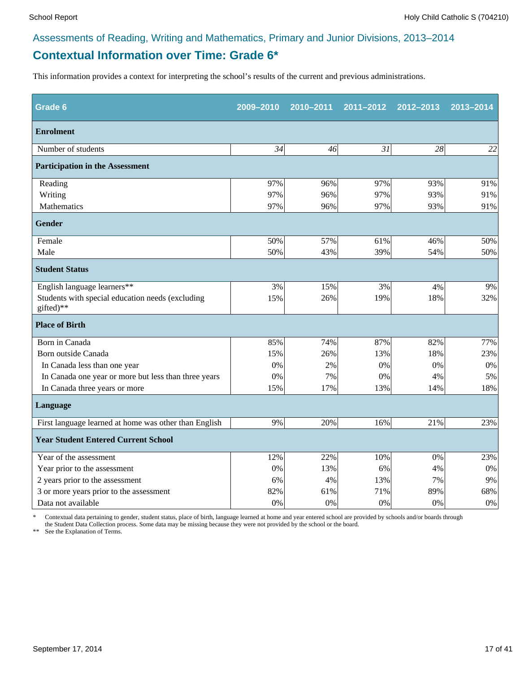# **Contextual Information over Time: Grade 6\***

This information provides a context for interpreting the school's results of the current and previous administrations.

| Grade 6                                                       | 2009-2010 | 2010-2011 | 2011-2012 | 2012-2013 | 2013-2014 |
|---------------------------------------------------------------|-----------|-----------|-----------|-----------|-----------|
| <b>Enrolment</b>                                              |           |           |           |           |           |
| Number of students                                            | 34        | 46        | 31        | 28        | 22        |
| <b>Participation in the Assessment</b>                        |           |           |           |           |           |
| Reading                                                       | 97%       | 96%       | 97%       | 93%       | 91%       |
| Writing                                                       | 97%       | 96%       | 97%       | 93%       | 91%       |
| Mathematics                                                   | 97%       | 96%       | 97%       | 93%       | 91%       |
| <b>Gender</b>                                                 |           |           |           |           |           |
| Female                                                        | 50%       | 57%       | 61%       | 46%       | 50%       |
| Male                                                          | 50%       | 43%       | 39%       | 54%       | 50%       |
| <b>Student Status</b>                                         |           |           |           |           |           |
| English language learners**                                   | 3%        | 15%       | 3%        | 4%        | 9%        |
| Students with special education needs (excluding<br>gifted)** | 15%       | 26%       | 19%       | 18%       | 32%       |
| <b>Place of Birth</b>                                         |           |           |           |           |           |
| Born in Canada                                                | 85%       | 74%       | 87%       | 82%       | 77%       |
| Born outside Canada                                           | 15%       | 26%       | 13%       | 18%       | 23%       |
| In Canada less than one year                                  | 0%        | 2%        | 0%        | 0%        | 0%        |
| In Canada one year or more but less than three years          | 0%        | 7%        | 0%        | 4%        | 5%        |
| In Canada three years or more                                 | 15%       | 17%       | 13%       | 14%       | 18%       |
| Language                                                      |           |           |           |           |           |
| First language learned at home was other than English         | 9%        | 20%       | 16%       | 21%       | 23%       |
| <b>Year Student Entered Current School</b>                    |           |           |           |           |           |
| Year of the assessment                                        | 12%       | 22%       | 10%       | 0%        | 23%       |
| Year prior to the assessment                                  | 0%        | 13%       | 6%        | 4%        | $0\%$     |
| 2 years prior to the assessment                               | 6%        | 4%        | 13%       | 7%        | 9%        |
| 3 or more years prior to the assessment                       | 82%       | 61%       | 71%       | 89%       | 68%       |
| Data not available                                            | 0%        | 0%        | 0%        | 0%        | $0\%$     |

\* Contextual data pertaining to gender, student status, place of birth, language learned at home and year entered school are provided by schools and/or boards through the Student Data Collection process. Some data may be missing because they were not provided by the school or the board.

\*\* See the Explanation of Terms.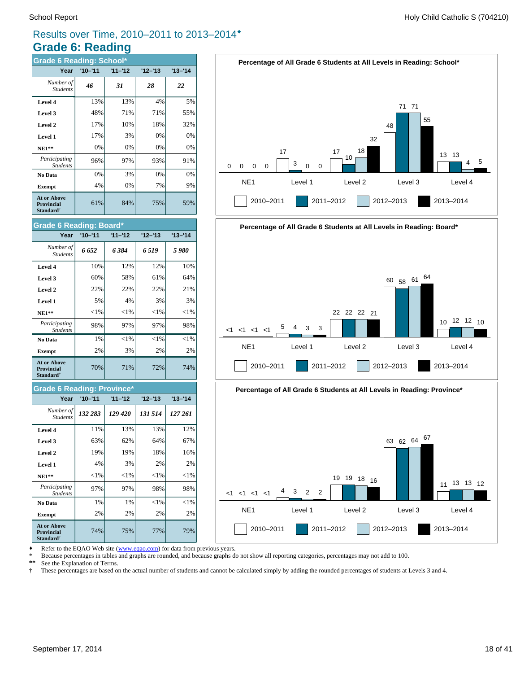## Results over Time, 2010–2011 to 2013–2014®

# **Grade 6: Reading**

| <b>Grade 6 Reading: School*</b>                                  |             |           |           |           |  |  |  |  |  |
|------------------------------------------------------------------|-------------|-----------|-----------|-----------|--|--|--|--|--|
| Year                                                             | $'10 - '11$ | $11 - 12$ | $12 - 13$ | $13 - 14$ |  |  |  |  |  |
| Number of<br><b>Students</b>                                     | 46          | 31        | 28        | 22        |  |  |  |  |  |
| Level 4                                                          | 13%         | 13%       | 4%        | 5%        |  |  |  |  |  |
| Level 3                                                          | 48%         | 71%       | 71%       | 55%       |  |  |  |  |  |
| Level 2                                                          | 17%         | 10%       | 18%       | 32%       |  |  |  |  |  |
| Level 1                                                          | 17%         | 3%        | 0%        | 0%        |  |  |  |  |  |
| $NE1**$                                                          | 0%          | 0%        | 0%        | 0%        |  |  |  |  |  |
| Participating<br><b>Students</b>                                 | 96%         | 97%       | 93%       | 91%       |  |  |  |  |  |
| No Data                                                          | 0%          | 3%        | 0%        | 0%        |  |  |  |  |  |
| <b>Exempt</b>                                                    | 4%          | 0%        | 7%        | 9%        |  |  |  |  |  |
| <b>At or Above</b><br><b>Provincial</b><br>Standard <sup>†</sup> | 61%         | 84%       | 75%       | 59%       |  |  |  |  |  |



#### **Grade 6 Reading: Province\***

| Year                                                             | $'10 - '11$ | $11 - 12$ | $12 - 13$ | $'13 - '14$ |
|------------------------------------------------------------------|-------------|-----------|-----------|-------------|
| Number of<br><b>Students</b>                                     | 132 283     | 129 420   | 131 514   | 127 261     |
| Level 4                                                          | 11%         | 13%       | 13%       | 12%         |
| Level 3                                                          | 63%         | 62%       | 64%       | 67%         |
| Level 2                                                          | 19%         | 19%       | 18%       | 16%         |
| Level 1                                                          | 4%          | 3%        | 2%        | 2%          |
| $NE1**$                                                          | $<$ 1%      | ${<}1\%$  | ${<}1\%$  | ${<}1\%$    |
| Participating<br><b>Students</b>                                 | 97%         | 97%       | 98%       | 98%         |
| No Data                                                          | 1%          | 1%        | $<$ 1%    | $<$ 1%      |
| <b>Exempt</b>                                                    | 2%          | 2%        | 2%        | 2%          |
| <b>At or Above</b><br><b>Provincial</b><br>Standard <sup>†</sup> | 74%         | 75%       | 77%       | 79%         |







Refer to the EQAO Web site (www.eqao.com) for data from previous years.

\* Because percentages in tables and graphs are rounded, and because graphs do not show all reporting categories, percentages may not add to 100.

 **\*\*** See the Explanation of Terms.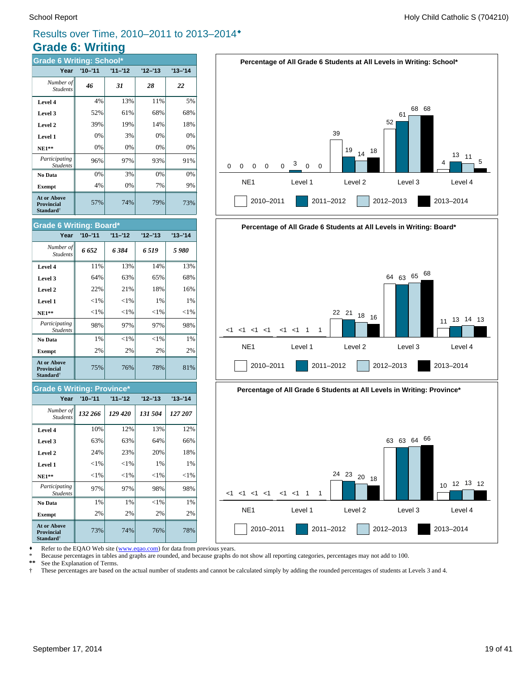$Participating$ 

**At or Above Provincial Standard**†

 $Participating$ 

**At or Above Provincial Standard**†

*StudentsX*

*Students*

**Grade 6 Writing: Province\***

Students

*Students*

**Grade 6 Writing: Board\***

#### Results over Time, 2010–2011 to 2013–2014®

# **Grade 6: Writing**

| <b>Grade 6 Writing: School*</b>                                  |             |           |           |           |  |  |  |  |  |
|------------------------------------------------------------------|-------------|-----------|-----------|-----------|--|--|--|--|--|
| Year                                                             | $'10 - '11$ | $11 - 12$ | $12 - 13$ | $13 - 14$ |  |  |  |  |  |
| Number of<br><b>Students</b>                                     | 46          | 31        | 28        | 22        |  |  |  |  |  |
| Level 4                                                          | 4%          | 13%       | 11%       | 5%        |  |  |  |  |  |
| Level 3                                                          | 52%         | 61%       | 68%       | 68%       |  |  |  |  |  |
| Level 2                                                          | 39%         | 19%       | 14%       | 18%       |  |  |  |  |  |
| Level 1                                                          | 0%          | 3%        | 0%        | 0%        |  |  |  |  |  |
| $NE1**$                                                          | 0%          | 0%        | 0%        | 0%        |  |  |  |  |  |
| Participating<br><b>Students</b>                                 | 96%         | 97%       | 93%       | 91%       |  |  |  |  |  |
| No Data                                                          | 0%          | 3%        | 0%        | 0%        |  |  |  |  |  |
| <b>Exempt</b>                                                    | 4%          | 0%        | 7%        | 9%        |  |  |  |  |  |
| <b>At or Above</b><br><b>Provincial</b><br>Standard <sup>†</sup> | 57%         | 74%       | 79%       | 73%       |  |  |  |  |  |







Refer to the EQAO Web site (www.eqao.com) for data from previous years.

**Exempt** 2% 2% 2% 2% 2% **No Data**  $\begin{array}{|c|c|c|c|} \hline \textbf{1}\% & \textbf{1}\% & \textbf{1}\% & \textbf{1}\% \hline \end{array}$ 

**NE1\*\***  $\vert \cdot \vert < 1\% \vert \cdot \vert < 1\% \vert \cdot \vert < 1\% \vert \cdot \vert < 1\%$ **Level 1**  $\vert$  <1%  $\vert$  <1%  $\vert$  1% 1% 1% **Level 2**  $\begin{array}{|c|c|c|c|c|} \hline \end{array}$  24% 23% 20% 20% 18% **Level 3**  $\begin{vmatrix} 63\% & 63\% \end{vmatrix}$  63% 64% 66% **Level 4** 10% 12% 12% 13% 12%

73% 74% 76% 78%

97% 97% 98% 98%

75% 76% 78% 81%

98% 97% 97% 98%

**Exempt** 2% 2% 2% 2% 2% **No Data**  $\begin{array}{|c|c|c|c|c|} \hline \textbf{N} & 1\% & & & & \textbf{1}\% \hline \end{array}$   $\begin{array}{|c|c|c|c|c|} \hline \textbf{N} & 1\% & & & \textbf{1}\% \hline \end{array}$ 

*132 266 129 420 131 504 127 207 Number of*

**Year '10–'11 '11–'12 '12–'13 '13–'14**

**NE1\*\***  $\vert \cdot \vert < 1\% \vert \cdot \vert < 1\% \vert \cdot \vert < 1\% \vert \cdot \vert < 1\%$ **Level 1**  $\left| \begin{array}{c} | & | & | \leq 1\% & | & 1\% \end{array} \right|$  1% 1% **Level 2** 22% 21% 18% 16% **Level 3**  $\begin{vmatrix} 64\% & 63\% \end{vmatrix}$  65% 68% **Level 4** 11% 13% 13% 14% 13% *6 652 6 384 6 519 5 980 Number of*

**Year '10–'11 '11–'12 '12–'13 '13–'14**

\* Because percentages in tables and graphs are rounded, and because graphs do not show all reporting categories, percentages may not add to 100.

 **\*\*** See the Explanation of Terms.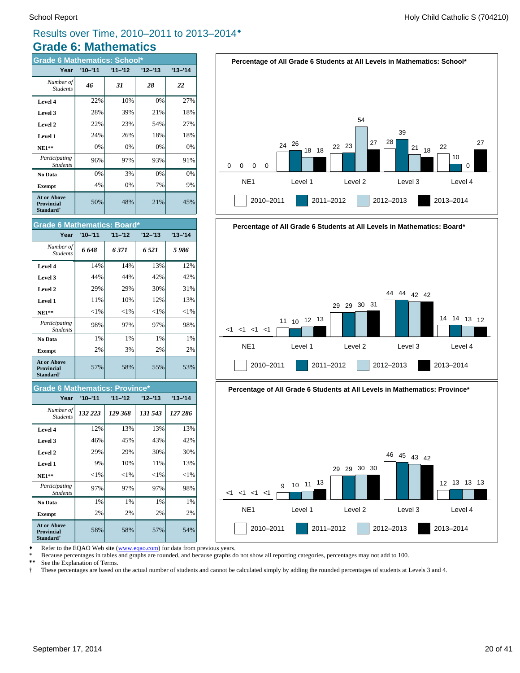$Participating$ 

**At or Above Provincial Standard**†

 $Participating$ 

**At or Above Provincial Standard**†

Studen

*Students*

Students

*Students*

**Grade 6 Mathematics: Board\***

#### Results over Time, 2010–2011 to 2013–2014®

# **Grade 6: Mathematics**

| <b>Grade 6 Mathematics: School*</b>                              |             |           |         |           |  |  |  |  |  |
|------------------------------------------------------------------|-------------|-----------|---------|-----------|--|--|--|--|--|
| Year                                                             | $'10 - '11$ | $11 - 12$ | '12–'13 | $13 - 14$ |  |  |  |  |  |
| Number of<br><b>Students</b>                                     | 46          | 31        | 28      | 22        |  |  |  |  |  |
| Level 4                                                          | 22%         | 10%       | 0%      | 27%       |  |  |  |  |  |
| Level 3                                                          | 28%         | 39%       | 21%     | 18%       |  |  |  |  |  |
| Level 2                                                          | 22%         | 23%       | 54%     | 27%       |  |  |  |  |  |
| Level 1                                                          | 24%         | 26%       | 18%     | 18%       |  |  |  |  |  |
| $NE1**$                                                          | 0%          | 0%        | 0%      | 0%        |  |  |  |  |  |
| Participating<br><b>Students</b>                                 | 96%         | 97%       | 93%     | 91%       |  |  |  |  |  |
| No Data                                                          | 0%          | 3%        | 0%      | 0%        |  |  |  |  |  |
| <b>Exempt</b>                                                    | 4%          | 0%        | 7%      | 9%        |  |  |  |  |  |
| <b>At or Above</b><br><b>Provincial</b><br>Standard <sup>†</sup> | 50%         | 48%       | 21%     | 45%       |  |  |  |  |  |



**Percentage of All Grade 6 Students at All Levels in Mathematics: School\***







Refer to the EQAO Web site (www.eqao.com) for data from previous years.

**Exempt**  $\begin{vmatrix} 2\% & 2\% \end{vmatrix}$  2% 2% 2% **No Data**  $\begin{vmatrix} 1\% & 1\% \\ 1\% & 1\% \end{vmatrix}$  1% 1%

**NE1\*\***  $\vert \qquad \langle 1\% \vert \qquad \langle 1\% \vert \qquad \langle 1\% \vert \qquad \langle 1\% \vert \qquad \langle 1\% \vert \qquad \langle 1\% \vert \qquad \langle 1\% \vert \qquad \langle 1\% \vert \qquad \langle 1\% \vert \qquad \langle 1\% \vert \qquad \langle 1\% \vert \qquad \langle 1\% \vert \qquad \langle 1\% \vert \qquad \langle 1\% \vert \qquad \langle 1\% \vert \qquad \langle 1\% \vert \qquad \langle 1\% \vert \qquad \langle 1\% \vert \qquad \langle 1\% \vert \q$ **Level 1**  $\begin{array}{|c|c|c|c|c|} \hline \end{array}$  10% 11% 13% **Level 2**  $\begin{vmatrix} 2.9\% & 29\% \end{vmatrix}$  29% 30% 30% **Level 3**  $\begin{vmatrix} 46\% & 45\% \\ 45\% & 43\% \end{vmatrix}$  42% **Level 4** 12% 13% 13% 13% 13%

58% 58% 57% 54%

97% 97% 97% 98%

57% 58% 55% 53%

98% 97% 97% 98%

**Exempt**  $\begin{vmatrix} 2\% & 3\% \end{vmatrix}$  2% 2% 2% **No Data**  $\begin{vmatrix} 1\% & 1\% \end{vmatrix}$  1% 1% 1%

**Grade 6 Mathematics: Province\***

*132 223 129 368 131 543 127 286 Number of*

**Year '10–'11 '11–'12 '12–'13 '13–'14**

**NE1\*\***  $\vert \qquad \langle 1\% \vert \qquad \langle 1\% \vert \qquad \langle 1\% \vert \qquad \langle 1\% \vert \qquad \langle 1\% \vert \qquad \langle 1\% \vert \qquad \langle 1\% \vert \qquad \langle 1\% \vert \qquad \langle 1\% \vert \qquad \langle 1\% \vert \qquad \langle 1\% \vert \qquad \langle 1\% \vert \qquad \langle 1\% \vert \qquad \langle 1\% \vert \qquad \langle 1\% \vert \qquad \langle 1\% \vert \qquad \langle 1\% \vert \qquad \langle 1\% \vert \qquad \langle 1\% \vert \q$ **Level 1**  $\begin{array}{ccc} 11\% & 10\% \\ 10\% & 12\% \end{array}$  13% **Level 2**  $\begin{array}{|c|c|c|c|c|c|} \hline \end{array}$  29% 29% 29% 30% 31% **Level 3**  $\begin{vmatrix} 44\% & 44\% \end{vmatrix}$  42% 42% 42% **Level 4**  $\vert$  14% 14% 13% 12%

*6 648 6 371 6 521 5 986 Number of*

**Year '10–'11 '11–'12 '12–'13 '13–'14**

\* Because percentages in tables and graphs are rounded, and because graphs do not show all reporting categories, percentages may not add to 100.

 **\*\*** See the Explanation of Terms.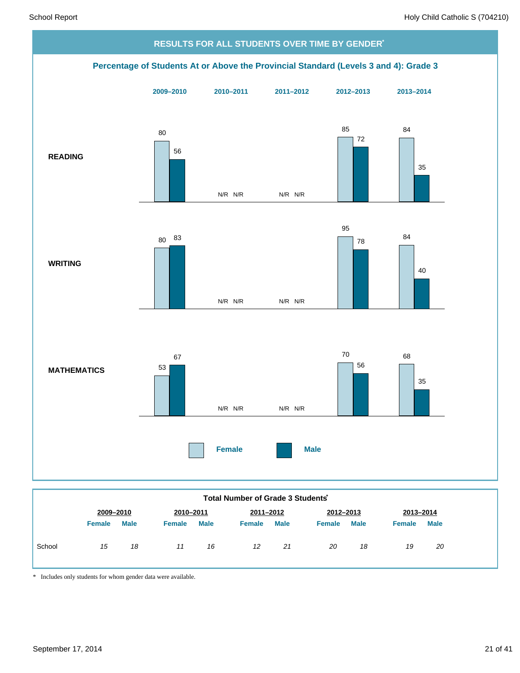

|        | 2009-2010     |             | 2010-2011     |      | 2011-2012     |             | 2012-2013     |             | 2013-2014     |             |
|--------|---------------|-------------|---------------|------|---------------|-------------|---------------|-------------|---------------|-------------|
|        | <b>Female</b> | <b>Male</b> | <b>Female</b> | Male | <b>Female</b> | <b>Male</b> | <b>Female</b> | <b>Male</b> | <b>Female</b> | <b>Male</b> |
| School | 15            | 18          | 11            | 16   | 12            | 21          | 20            | 18          | 19            | 20          |

\* Includes only students for whom gender data were available.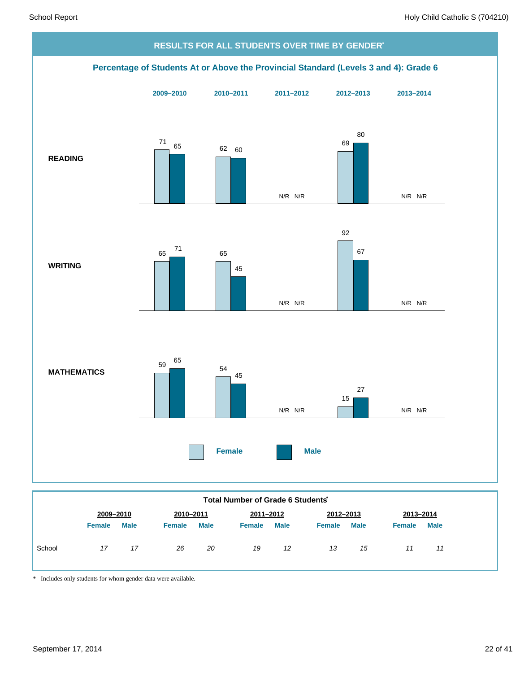

| Total Number of Grade 6 Students |               |             |               |             |               |             |               |             |               |             |
|----------------------------------|---------------|-------------|---------------|-------------|---------------|-------------|---------------|-------------|---------------|-------------|
|                                  | 2009-2010     |             | 2010-2011     |             | 2011-2012     |             | 2012-2013     |             | 2013-2014     |             |
|                                  | <b>Female</b> | <b>Male</b> | <b>Female</b> | <b>Male</b> | <b>Female</b> | <b>Male</b> | <b>Female</b> | <b>Male</b> | <b>Female</b> | <b>Male</b> |
| School                           | 17            | 17          | 26            | 20          | 19            | 12          | 13            | 15          | 11            | 11          |

\* Includes only students for whom gender data were available.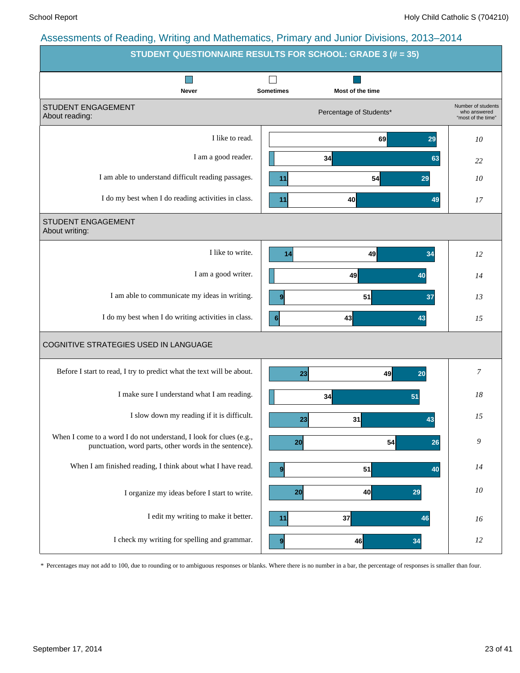|                                                                                                                              | STUDENT QUESTIONNAIRE RESULTS FOR SCHOOL: GRADE 3 (# = 35) |                                                          |
|------------------------------------------------------------------------------------------------------------------------------|------------------------------------------------------------|----------------------------------------------------------|
| Never                                                                                                                        | <b>Sometimes</b><br>Most of the time                       |                                                          |
| STUDENT ENGAGEMENT<br>About reading:                                                                                         | Percentage of Students*                                    | Number of students<br>who answered<br>"most of the time" |
| I like to read.                                                                                                              | 69<br>29                                                   | 10                                                       |
| I am a good reader.                                                                                                          | 34<br>63                                                   | 22                                                       |
| I am able to understand difficult reading passages.                                                                          | 11<br>54<br>29                                             | 10                                                       |
| I do my best when I do reading activities in class.                                                                          | 40<br>11<br>49                                             | 17                                                       |
| STUDENT ENGAGEMENT<br>About writing:                                                                                         |                                                            |                                                          |
| I like to write.                                                                                                             | 49<br>34<br>14                                             | 12                                                       |
| I am a good writer.                                                                                                          | 49<br>40                                                   | 14                                                       |
| I am able to communicate my ideas in writing.                                                                                | 51<br>37<br>9                                              | 13                                                       |
| I do my best when I do writing activities in class.                                                                          | 43<br>6<br>43                                              | 15                                                       |
| COGNITIVE STRATEGIES USED IN LANGUAGE                                                                                        |                                                            |                                                          |
| Before I start to read, I try to predict what the text will be about.                                                        | 49<br>20<br>23                                             | 7                                                        |
| I make sure I understand what I am reading.                                                                                  | 34<br>51                                                   | 18                                                       |
| I slow down my reading if it is difficult.                                                                                   | 31<br>23<br>43                                             | 15                                                       |
| When I come to a word I do not understand, I look for clues (e.g.,<br>punctuation, word parts, other words in the sentence). | 54<br>20<br>26                                             | 9                                                        |
| When I am finished reading, I think about what I have read.                                                                  | 51<br>40<br>9                                              | 14                                                       |
| I organize my ideas before I start to write.                                                                                 | 40<br>20<br>29                                             | 10                                                       |
| I edit my writing to make it better.                                                                                         | 37<br>11<br>46                                             | 16                                                       |
| I check my writing for spelling and grammar.                                                                                 | 46<br>9<br>34                                              | 12                                                       |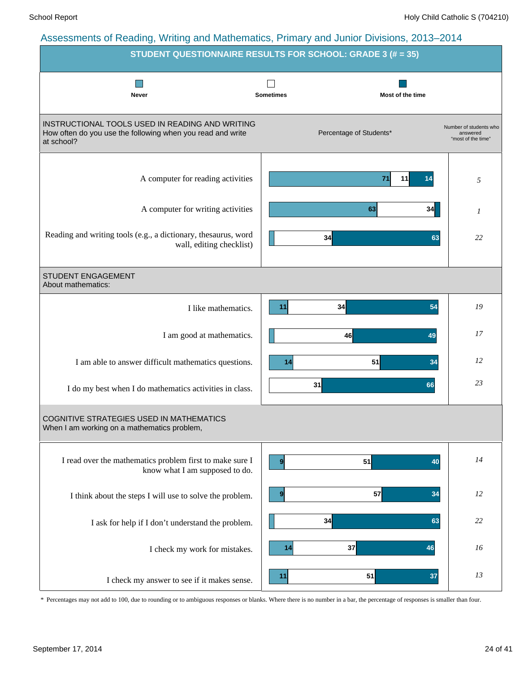|                                                                                                                             | STUDENT QUESTIONNAIRE RESULTS FOR SCHOOL: GRADE 3 (# = 35) |                                                          |
|-----------------------------------------------------------------------------------------------------------------------------|------------------------------------------------------------|----------------------------------------------------------|
| <b>Never</b>                                                                                                                | <b>Sometimes</b><br>Most of the time                       |                                                          |
| INSTRUCTIONAL TOOLS USED IN READING AND WRITING<br>How often do you use the following when you read and write<br>at school? | Percentage of Students*                                    | Number of students who<br>answered<br>"most of the time" |
| A computer for reading activities                                                                                           | 71<br>11<br>14                                             | 5                                                        |
| A computer for writing activities                                                                                           | 63                                                         | 34<br>$\mathcal{I}$                                      |
| Reading and writing tools (e.g., a dictionary, thesaurus, word<br>wall, editing checklist)                                  | 34                                                         | 22<br>63                                                 |
| STUDENT ENGAGEMENT<br>About mathematics:                                                                                    |                                                            |                                                          |
| I like mathematics.                                                                                                         | 34<br>11                                                   | 54<br>19                                                 |
| I am good at mathematics.                                                                                                   | 46                                                         | 17<br>49                                                 |
| I am able to answer difficult mathematics questions.                                                                        | 51<br>14                                                   | 12<br>34                                                 |
| I do my best when I do mathematics activities in class.                                                                     | 31<br>66                                                   | 23                                                       |
| <b>COGNITIVE STRATEGIES USED IN MATHEMATICS</b><br>When I am working on a mathematics problem,                              |                                                            |                                                          |
| I read over the mathematics problem first to make sure I<br>know what I am supposed to do.                                  | 51<br>9 <sup>1</sup>                                       | 14<br>40                                                 |
| I think about the steps I will use to solve the problem.                                                                    | 57<br>9                                                    | 34<br>12                                                 |
| I ask for help if I don't understand the problem.                                                                           | 34                                                         | 22<br>63                                                 |
| I check my work for mistakes.                                                                                               | 37<br>14<br>46                                             | 16                                                       |
| I check my answer to see if it makes sense.                                                                                 | 51<br>11                                                   | 13<br>37                                                 |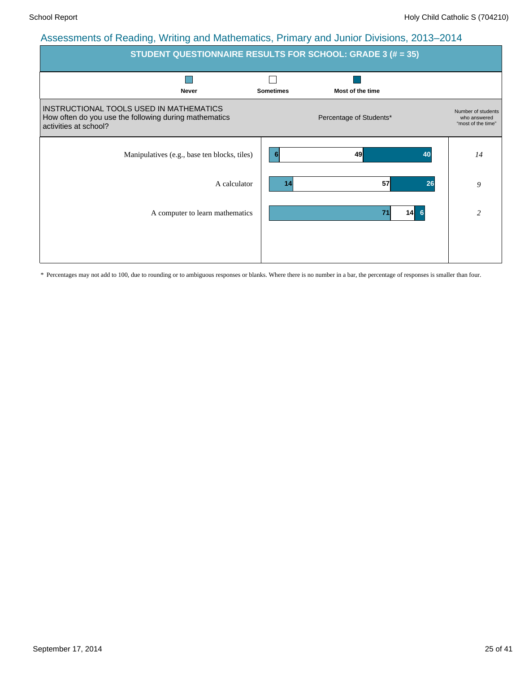| <b>STUDENT QUESTIONNAIRE RESULTS FOR SCHOOL: GRADE 3 (# = 35)</b>                                                         |                  |                         |                                                          |  |  |  |  |  |  |
|---------------------------------------------------------------------------------------------------------------------------|------------------|-------------------------|----------------------------------------------------------|--|--|--|--|--|--|
|                                                                                                                           |                  |                         |                                                          |  |  |  |  |  |  |
| <b>Never</b>                                                                                                              | <b>Sometimes</b> | Most of the time        |                                                          |  |  |  |  |  |  |
| INSTRUCTIONAL TOOLS USED IN MATHEMATICS<br>How often do you use the following during mathematics<br>activities at school? |                  | Percentage of Students* | Number of students<br>who answered<br>"most of the time" |  |  |  |  |  |  |
| Manipulatives (e.g., base ten blocks, tiles)                                                                              | 6                | 49<br>40                | 14                                                       |  |  |  |  |  |  |
| A calculator                                                                                                              | 14               | 57<br>26                | 9                                                        |  |  |  |  |  |  |
| A computer to learn mathematics                                                                                           |                  | $14 \quad 6$<br>71      | $\overline{c}$                                           |  |  |  |  |  |  |
|                                                                                                                           |                  |                         |                                                          |  |  |  |  |  |  |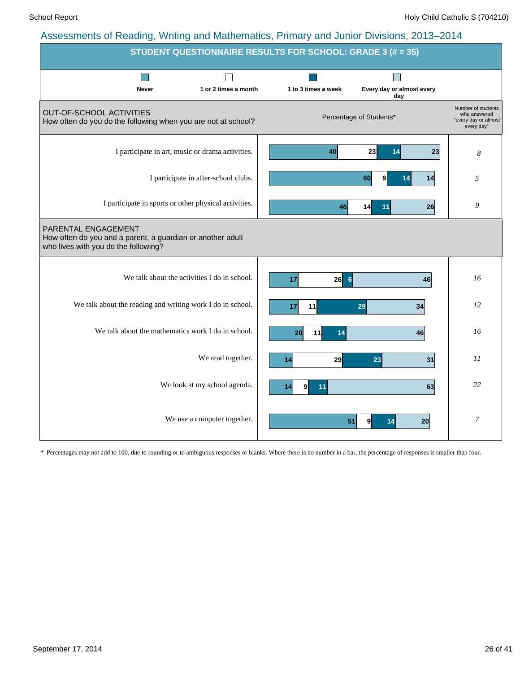|                                                                                                                           |                                      | STUDENT QUESTIONNAIRE RESULTS FOR SCHOOL: GRADE 3 (# = 35) |                           |                                                                          |
|---------------------------------------------------------------------------------------------------------------------------|--------------------------------------|------------------------------------------------------------|---------------------------|--------------------------------------------------------------------------|
| Never                                                                                                                     | 1 or 2 times a month                 | 1 to 3 times a week                                        | Every day or almost every |                                                                          |
|                                                                                                                           |                                      |                                                            | day                       |                                                                          |
| OUT-OF-SCHOOL ACTIVITIES<br>How often do you do the following when you are not at school?                                 |                                      |                                                            | Percentage of Students*   | Number of students<br>who answered<br>"every day or almost<br>every day" |
| I participate in art, music or drama activities.                                                                          |                                      | 40                                                         | 23<br>23<br>14            | 8                                                                        |
|                                                                                                                           | I participate in after-school clubs. |                                                            | 60<br>14<br>9<br>14       | 5                                                                        |
| I participate in sports or other physical activities.                                                                     |                                      | 46                                                         | 26<br>14<br>11            | 9                                                                        |
| PARENTAL ENGAGEMENT<br>How often do you and a parent, a guardian or another adult<br>who lives with you do the following? |                                      |                                                            |                           |                                                                          |
| We talk about the activities I do in school.                                                                              |                                      | $26$ 6<br>17                                               | 46                        | 16                                                                       |
| We talk about the reading and writing work I do in school.                                                                |                                      | 11<br>17                                                   | 29<br>34                  | 12                                                                       |
| We talk about the mathematics work I do in school.                                                                        |                                      | 20<br>11<br>14                                             | 46                        | 16                                                                       |
|                                                                                                                           | We read together.                    | 29<br>14                                                   | 23<br>31                  | II                                                                       |
|                                                                                                                           | We look at my school agenda.         | 14<br>91<br>11                                             | 63                        | 22                                                                       |
|                                                                                                                           | We use a computer together.          | 51                                                         | 14<br>20<br>9             | $\boldsymbol{7}$                                                         |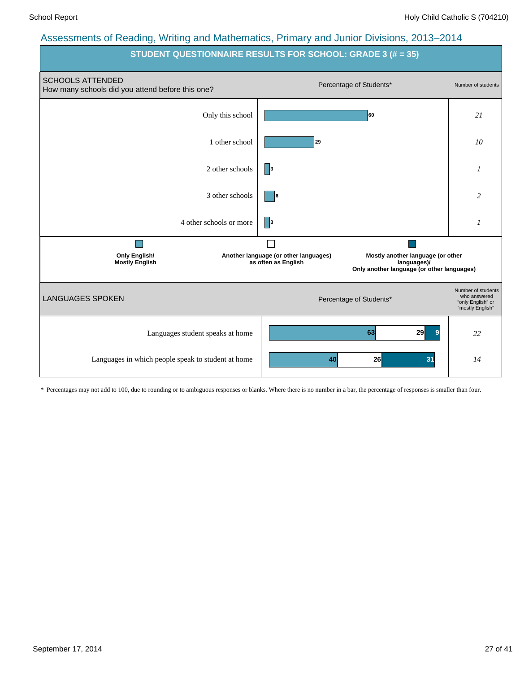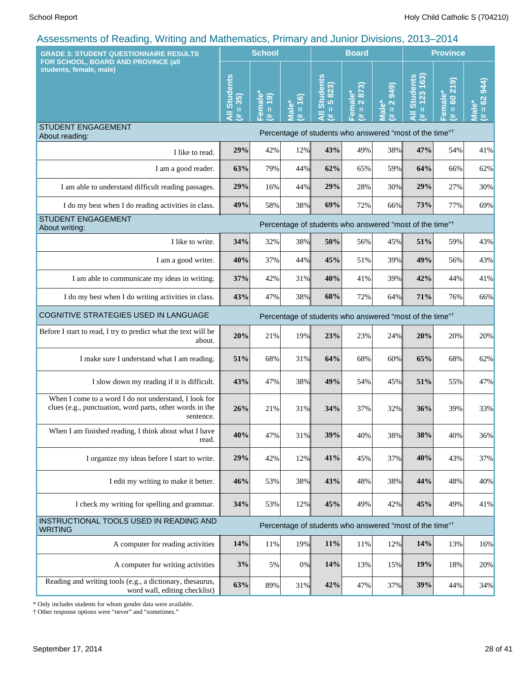| <b>GRADE 3: STUDENT QUESTIONNAIRE RESULTS</b>                                                                                  |                                                   | <b>School</b>                       |                             |                                      | <b>Board</b>                          |                                                     |                                                                     | <b>Province</b>                                    |                                   |
|--------------------------------------------------------------------------------------------------------------------------------|---------------------------------------------------|-------------------------------------|-----------------------------|--------------------------------------|---------------------------------------|-----------------------------------------------------|---------------------------------------------------------------------|----------------------------------------------------|-----------------------------------|
| FOR SCHOOL, BOARD AND PROVINCE (all<br>students, female, male)                                                                 | <b>Students</b><br>$= 35$<br>$\overline{a}$<br>#. | Female<br>(61)<br>$\mathbf{u}$<br>共 | $= 16$<br><b>Male*</b><br>共 | <b>All Students</b><br>$= 5823$<br>共 | 2873)<br>Female*<br>$\mathbf{u}$<br>巷 | <b>949</b><br>$\frac{2}{\pi}$<br><b>Male*</b><br>3k | $= 123 163$<br><b>Students</b><br>共                                 | ြ<br>$\ddot{\mathbf{z}}$<br>Female*<br>$= 60$<br>巷 | 944)<br>$= 62$<br><u>nai</u><br>进 |
| <b>STUDENT ENGAGEMENT</b><br>About reading:                                                                                    |                                                   |                                     |                             |                                      |                                       |                                                     | Percentage of students who answered "most of the time" <sup>†</sup> |                                                    |                                   |
| I like to read.                                                                                                                | 29%                                               | 42%                                 | 12%                         | 43%                                  | 49%                                   | 38%                                                 | 47%                                                                 | 54%                                                | 41%                               |
| I am a good reader.                                                                                                            | 63%                                               | 79%                                 | 44%                         | 62%                                  | 65%                                   | 59%                                                 | 64%                                                                 | 66%                                                | 62%                               |
| I am able to understand difficult reading passages.                                                                            | 29%                                               | 16%                                 | 44%                         | 29%                                  | 28%                                   | 30%                                                 | 29%                                                                 | 27%                                                | 30%                               |
| I do my best when I do reading activities in class.                                                                            | 49%                                               | 58%                                 | 38%                         | 69%                                  | 72%                                   | 66%                                                 | 73%                                                                 | 77%                                                | 69%                               |
| <b>STUDENT ENGAGEMENT</b><br>About writing:                                                                                    |                                                   |                                     |                             |                                      |                                       |                                                     | Percentage of students who answered "most of the time" <sup>†</sup> |                                                    |                                   |
| I like to write.                                                                                                               | 34%                                               | 32%                                 | 38%                         | 50%                                  | 56%                                   | 45%                                                 | 51%                                                                 | 59%                                                | 43%                               |
| I am a good writer.                                                                                                            | 40%                                               | 37%                                 | 44%                         | 45%                                  | 51%                                   | 39%                                                 | 49%                                                                 | 56%                                                | 43%                               |
| I am able to communicate my ideas in writing.                                                                                  | 37%                                               | 42%                                 | 31%                         | 40%                                  | 41%                                   | 39%                                                 | 42%                                                                 | 44%                                                | 41%                               |
| I do my best when I do writing activities in class.                                                                            | 43%                                               | 47%                                 | 38%                         | 68%                                  | 72%                                   | 64%                                                 | 71%                                                                 | 76%                                                | 66%                               |
| COGNITIVE STRATEGIES USED IN LANGUAGE                                                                                          |                                                   |                                     |                             |                                      |                                       |                                                     | Percentage of students who answered "most of the time" <sup>†</sup> |                                                    |                                   |
| Before I start to read, I try to predict what the text will be<br>about.                                                       | 20%                                               | 21%                                 | 19%                         | 23%                                  | 23%                                   | 24%                                                 | 20%                                                                 | 20%                                                | 20%                               |
| I make sure I understand what I am reading.                                                                                    | 51%                                               | 68%                                 | 31%                         | 64%                                  | 68%                                   | 60%                                                 | 65%                                                                 | 68%                                                | 62%                               |
| I slow down my reading if it is difficult.                                                                                     | 43%                                               | 47%                                 | 38%                         | 49%                                  | 54%                                   | 45%                                                 | 51%                                                                 | 55%                                                | 47%                               |
| When I come to a word I do not understand, I look for<br>clues (e.g., punctuation, word parts, other words in the<br>sentence. | 26%                                               | 21%                                 | 31%                         | 34%                                  | 37%                                   | 32%                                                 | 36%                                                                 | 39%                                                | 33%                               |
| When I am finished reading, I think about what I have<br>read.                                                                 | 40%                                               | 47%                                 | 31%                         | 39%                                  | 40%                                   | 38%                                                 | 38%                                                                 | 40%                                                | 36%                               |
| I organize my ideas before I start to write.                                                                                   | 29%                                               | 42%                                 | 12%                         | 41%                                  | 45%                                   | 37%                                                 | 40%                                                                 | 43%                                                | 37%                               |
| I edit my writing to make it better.                                                                                           | 46%                                               | 53%                                 | 38%                         | 43%                                  | 48%                                   | 38%                                                 | 44%                                                                 | 48%                                                | 40%                               |
| I check my writing for spelling and grammar.                                                                                   | 34%                                               | 53%                                 | 12%                         | 45%                                  | 49%                                   | 42%                                                 | 45%                                                                 | 49%                                                | 41%                               |
| INSTRUCTIONAL TOOLS USED IN READING AND<br><b>WRITING</b>                                                                      |                                                   |                                     |                             |                                      |                                       |                                                     | Percentage of students who answered "most of the time" <sup>†</sup> |                                                    |                                   |
| A computer for reading activities                                                                                              | 14%                                               | 11%                                 | 19%                         | 11%                                  | 11%                                   | 12%                                                 | 14%                                                                 | 13%                                                | 16%                               |
| A computer for writing activities                                                                                              | 3%                                                | 5%                                  | 0%                          | 14%                                  | 13%                                   | 15%                                                 | 19%                                                                 | 18%                                                | 20%                               |
| Reading and writing tools (e.g., a dictionary, thesaurus,<br>word wall, editing checklist)                                     | 63%                                               | 89%                                 | 31%                         | 42%                                  | 47%                                   | 37%                                                 | 39%                                                                 | 44%                                                | 34%                               |

\* Only includes students for whom gender data were available.

† Other response options were "never" and "sometimes."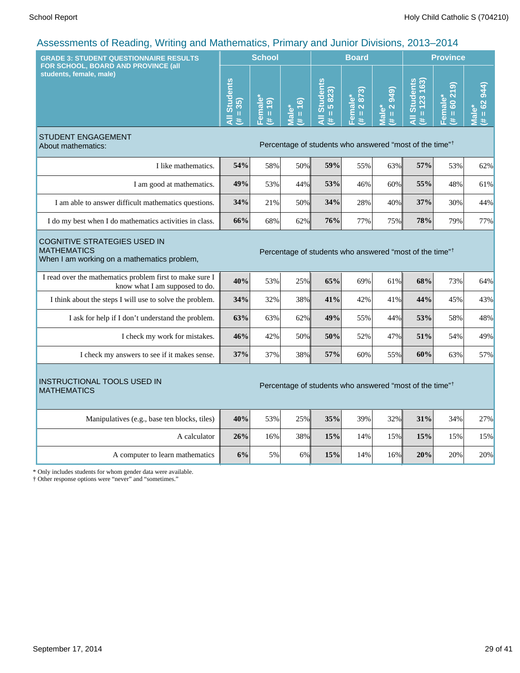| <b>GRADE 3: STUDENT QUESTIONNAIRE RESULTS</b>                                                                                                                                   |                                     | <b>School</b>                                   |                                  |                                                                     | <b>Board</b>           |                                                                         |                                                            | <b>Province</b>                 |                                  |
|---------------------------------------------------------------------------------------------------------------------------------------------------------------------------------|-------------------------------------|-------------------------------------------------|----------------------------------|---------------------------------------------------------------------|------------------------|-------------------------------------------------------------------------|------------------------------------------------------------|---------------------------------|----------------------------------|
| FOR SCHOOL, BOARD AND PROVINCE (all<br>students, female, male)                                                                                                                  | <b>Students</b><br>$(44 = 35)$<br>Ę | Female*<br>$\overline{19}$<br>$\mathbf{u}$<br>美 | $= 16$<br>Male <sup>*</sup><br>共 | All Students<br>5823)<br>$\rm{II}$<br>进                             | Female*<br>(# = 2 873) | 949)<br>$\overline{\mathbf{N}}$<br>Male*<br>$\, \, \mathrm{II} \,$<br>茉 | <b>Students</b><br>163)<br>123<br>Ш<br>$\bar{a}$<br>$\ast$ | 60219<br>Female*<br>$\,$ H<br>巷 | $# = 62944$<br>Male <sup>®</sup> |
| <b>STUDENT ENGAGEMENT</b><br>About mathematics:                                                                                                                                 |                                     |                                                 |                                  | Percentage of students who answered "most of the time" <sup>†</sup> |                        |                                                                         |                                                            |                                 |                                  |
| I like mathematics.                                                                                                                                                             | 54%                                 | 58%                                             | 50%                              | 59%                                                                 | 55%                    | 63%                                                                     | 57%                                                        | 53%                             | 62%                              |
| I am good at mathematics.                                                                                                                                                       | 49%                                 | 53%                                             | 44%                              | 53%                                                                 | 46%                    | 60%                                                                     | 55%                                                        | 48%                             | 61%                              |
| I am able to answer difficult mathematics questions.                                                                                                                            | 34%                                 | 21%                                             | 50%                              | 34%                                                                 | 28%                    | 40%                                                                     | 37%                                                        | 30%                             | 44%                              |
| I do my best when I do mathematics activities in class.                                                                                                                         | 66%                                 | 68%                                             | 62%                              | 76%                                                                 | 77%                    | 75%                                                                     | 78%                                                        | 79%                             | 77%                              |
| <b>COGNITIVE STRATEGIES USED IN</b><br><b>MATHEMATICS</b><br>Percentage of students who answered "most of the time" <sup>†</sup><br>When I am working on a mathematics problem, |                                     |                                                 |                                  |                                                                     |                        |                                                                         |                                                            |                                 |                                  |
| I read over the mathematics problem first to make sure I<br>know what I am supposed to do.                                                                                      | 40%                                 | 53%                                             | 25%                              | 65%                                                                 | 69%                    | 61%                                                                     | 68%                                                        | 73%                             | 64%                              |
| I think about the steps I will use to solve the problem.                                                                                                                        | 34%                                 | 32%                                             | 38%                              | 41%                                                                 | 42%                    | 41%                                                                     | 44%                                                        | 45%                             | 43%                              |
| I ask for help if I don't understand the problem.                                                                                                                               | 63%                                 | 63%                                             | 62%                              | 49%                                                                 | 55%                    | 44%                                                                     | 53%                                                        | 58%                             | 48%                              |
| I check my work for mistakes.                                                                                                                                                   | 46%                                 | 42%                                             | 50%                              | 50%                                                                 | 52%                    | 47%                                                                     | 51%                                                        | 54%                             | 49%                              |
| I check my answers to see if it makes sense.                                                                                                                                    | 37%                                 | 37%                                             | 38%                              | 57%                                                                 | 60%                    | 55%                                                                     | 60%                                                        | 63%                             | 57%                              |
| <b>INSTRUCTIONAL TOOLS USED IN</b><br><b>MATHEMATICS</b>                                                                                                                        |                                     |                                                 |                                  | Percentage of students who answered "most of the time" <sup>†</sup> |                        |                                                                         |                                                            |                                 |                                  |
| Manipulatives (e.g., base ten blocks, tiles)                                                                                                                                    | 40%                                 | 53%                                             | 25%                              | 35%                                                                 | 39%                    | 32%                                                                     | 31%                                                        | 34%                             | 27%                              |
| A calculator                                                                                                                                                                    | 26%                                 | 16%                                             | 38%                              | 15%                                                                 | 14%                    | 15%                                                                     | 15%                                                        | 15%                             | 15%                              |
| A computer to learn mathematics                                                                                                                                                 | 6%                                  | 5%                                              | 6%                               | 15%                                                                 | 14%                    | 16%                                                                     | 20%                                                        | 20%                             | 20%                              |
| * Only includes students for whom gender data were available.<br>† Other response options were "never" and "sometimes."                                                         |                                     |                                                 |                                  |                                                                     |                        |                                                                         |                                                            |                                 |                                  |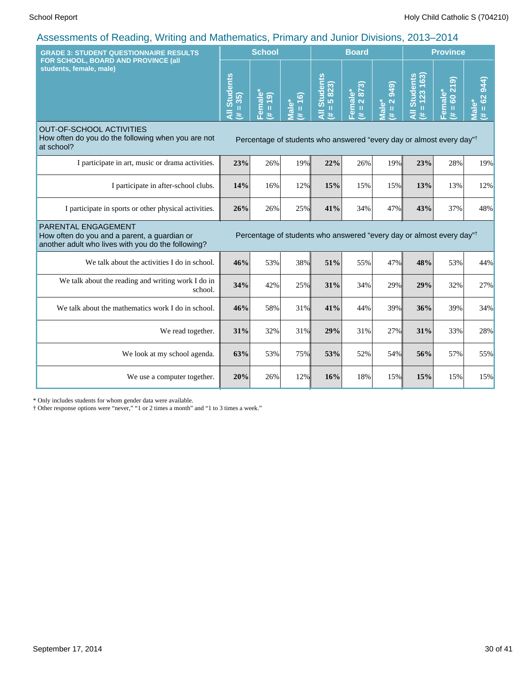| <b>GRADE 3: STUDENT QUESTIONNAIRE RESULTS</b><br>FOR SCHOOL, BOARD AND PROVINCE (all                                      | <b>School</b>                                    |                                                |                                          |                                                                                  | <b>Board</b>           |                                                         | <b>Province</b>                                  |                                                    |                                          |  |
|---------------------------------------------------------------------------------------------------------------------------|--------------------------------------------------|------------------------------------------------|------------------------------------------|----------------------------------------------------------------------------------|------------------------|---------------------------------------------------------|--------------------------------------------------|----------------------------------------------------|------------------------------------------|--|
| students, female, male)                                                                                                   | <b>Students</b><br>$= 35$<br>$\overline{a}$<br>共 | Female*<br>$\overline{9}$<br>$\mathbf{H}$<br>共 | $= 16$<br>Male <sup>*</sup><br>$\ddot{}$ | <b>Students</b><br>5823)<br>$\mathbf{H}$<br>$\bar{a}$<br>主                       | Female*<br>(# = 2 873) | <b>949</b><br>$\frac{2}{\pi}$<br>Male <sup>*</sup><br># | $= 123 163$<br><b>Students</b><br>$\bar{a}$<br>主 | ெ<br>$\overline{z}$<br>Female*<br>8<br>$\,$ H<br>共 | 944)<br>$= 62$<br>Male <sup>*</sup><br>进 |  |
| <b>OUT-OF-SCHOOL ACTIVITIES</b><br>How often do you do the following when you are not<br>at school?                       |                                                  |                                                |                                          | Percentage of students who answered "every day or almost every day" <sup>†</sup> |                        |                                                         |                                                  |                                                    |                                          |  |
| I participate in art, music or drama activities.                                                                          | 23%                                              | 26%                                            | 19%                                      | 22%                                                                              | 26%                    | 19%                                                     | 23%                                              | 28%                                                | 19%                                      |  |
| I participate in after-school clubs.                                                                                      | 14%                                              | 16%                                            | 12%                                      | 15%                                                                              | 15%                    | 15%                                                     | 13%                                              | 13%                                                | 12%                                      |  |
| I participate in sports or other physical activities.                                                                     | 26%                                              | 26%                                            | 25%                                      | 41%                                                                              | 34%                    | 47%                                                     | 43%                                              | 37%                                                | 48%                                      |  |
| PARENTAL ENGAGEMENT<br>How often do you and a parent, a guardian or<br>another adult who lives with you do the following? |                                                  |                                                |                                          | Percentage of students who answered "every day or almost every day"              |                        |                                                         |                                                  |                                                    |                                          |  |
| We talk about the activities I do in school.                                                                              | 46%                                              | 53%                                            | 38%                                      | 51%                                                                              | 55%                    | 47%                                                     | 48%                                              | 53%                                                | 44%                                      |  |
| We talk about the reading and writing work I do in<br>school.                                                             | 34%                                              | 42%                                            | 25%                                      | 31%                                                                              | 34%                    | 29%                                                     | 29%                                              | 32%                                                | 27%                                      |  |
| We talk about the mathematics work I do in school.                                                                        | 46%                                              | 58%                                            | 31%                                      | 41%                                                                              | 44%                    | 39%                                                     | 36%                                              | 39%                                                | 34%                                      |  |
| We read together.                                                                                                         | 31%                                              | 32%                                            | 31%                                      | 29%                                                                              | 31%                    | 27%                                                     | 31%                                              | 33%                                                | 28%                                      |  |
| We look at my school agenda.                                                                                              | 63%                                              | 53%                                            | 75%                                      | 53%                                                                              | 52%                    | 54%                                                     | 56%                                              | 57%                                                | 55%                                      |  |
| We use a computer together.                                                                                               | 20%                                              | 26%                                            | 12%                                      | 16%                                                                              | 18%                    | 15%                                                     | 15%                                              | 15%                                                | 15%                                      |  |

\* Only includes students for whom gender data were available.

† Other response options were "never," "1 or 2 times a month" and "1 to 3 times a week."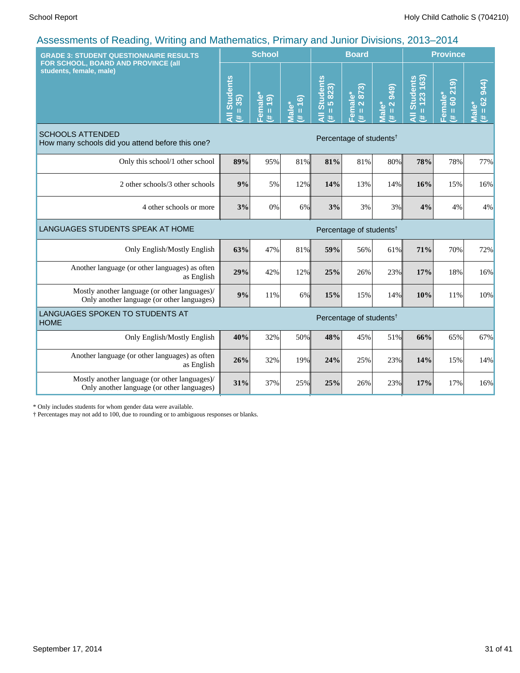| <b>GRADE 3: STUDENT QUESTIONNAIRE RESULTS</b>                                               |                                          | <b>School</b>                                   |                     |                                       | <b>Board</b>                        |                                           | <b>Province</b>                          |                                                  |                      |
|---------------------------------------------------------------------------------------------|------------------------------------------|-------------------------------------------------|---------------------|---------------------------------------|-------------------------------------|-------------------------------------------|------------------------------------------|--------------------------------------------------|----------------------|
| FOR SCHOOL, BOARD AND PROVINCE (all<br>students, female, male)                              | <b>Students</b><br>$= 35$<br>₹<br>$\ast$ | emale*<br>$\overline{19}$<br>$\,$ II<br>#<br>n. | $(91 = #)$<br>Male* | <b>Students</b><br>$= 5823$<br>Ę<br>巷 | Female*<br>(# = 2 873)              | $(6 + 6)$<br>$# = 2$<br>Male <sup>*</sup> | $= 123 163$<br><b>Students</b><br>₹<br>进 | ெ<br>60 21<br>Female*<br>$\mathbf{\bar{H}}$<br>进 | $H = 62944$<br>lale* |
| <b>SCHOOLS ATTENDED</b><br>How many schools did you attend before this one?                 |                                          |                                                 |                     |                                       | Percentage of students <sup>†</sup> |                                           |                                          |                                                  |                      |
| Only this school/1 other school                                                             | 89%                                      | 95%                                             | 81%                 | 81%                                   | 81%                                 | 80%                                       | 78%                                      | 78%                                              | 77%                  |
| 2 other schools/3 other schools                                                             | 9%                                       | 5%                                              | 12%                 | 14%                                   | 13%                                 | 14%                                       | 16%                                      | 15%                                              | 16%                  |
| 4 other schools or more                                                                     | 3%                                       | 0%                                              | 6%                  | 3%                                    | 3%                                  | 3%                                        | 4%                                       | 4%                                               | 4%                   |
| LANGUAGES STUDENTS SPEAK AT HOME                                                            |                                          |                                                 |                     |                                       | Percentage of students <sup>†</sup> |                                           |                                          |                                                  |                      |
| Only English/Mostly English                                                                 | 63%                                      | 47%                                             | 81%                 | 59%                                   | 56%                                 | 61%                                       | 71%                                      | 70%                                              | 72%                  |
| Another language (or other languages) as often<br>as English                                | 29%                                      | 42%                                             | 12%                 | 25%                                   | 26%                                 | 23%                                       | 17%                                      | 18%                                              | 16%                  |
| Mostly another language (or other languages)/<br>Only another language (or other languages) | 9%                                       | 11%                                             | 6%                  | 15%                                   | 15%                                 | 14%                                       | 10%                                      | 11%                                              | 10%                  |
| LANGUAGES SPOKEN TO STUDENTS AT<br><b>HOME</b>                                              |                                          |                                                 |                     |                                       | Percentage of students <sup>†</sup> |                                           |                                          |                                                  |                      |
| Only English/Mostly English                                                                 | 40%                                      | 32%                                             | 50%                 | 48%                                   | 45%                                 | 51%                                       | 66%                                      | 65%                                              | 67%                  |
| Another language (or other languages) as often<br>as English                                | 26%                                      | 32%                                             | 19%                 | 24%                                   | 25%                                 | 23%                                       | 14%                                      | 15%                                              | 14%                  |
| Mostly another language (or other languages)/<br>Only another language (or other languages) | 31%                                      | 37%                                             | 25%                 | 25%                                   | 26%                                 | 23%                                       | 17%                                      | 17%                                              | 16%                  |

\* Only includes students for whom gender data were available.

† Percentages may not add to 100, due to rounding or to ambiguous responses or blanks.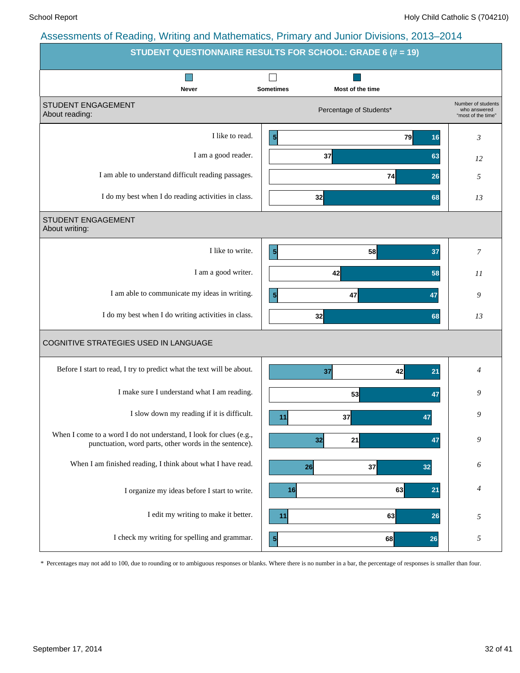|                                                                                                                              | STUDENT QUESTIONNAIRE RESULTS FOR SCHOOL: GRADE 6 (# = 19) |                                                          |
|------------------------------------------------------------------------------------------------------------------------------|------------------------------------------------------------|----------------------------------------------------------|
| Never                                                                                                                        | <b>Sometimes</b><br>Most of the time                       |                                                          |
| STUDENT ENGAGEMENT<br>About reading:                                                                                         | Percentage of Students*                                    | Number of students<br>who answered<br>"most of the time" |
| I like to read.                                                                                                              | $\vert$<br>79                                              | 3<br>16                                                  |
| I am a good reader.                                                                                                          | 37                                                         | 63<br>12                                                 |
| I am able to understand difficult reading passages.                                                                          | 74                                                         | 26<br>5                                                  |
| I do my best when I do reading activities in class.                                                                          | 32                                                         | 68<br>13                                                 |
| STUDENT ENGAGEMENT<br>About writing:                                                                                         |                                                            |                                                          |
| I like to write.                                                                                                             | $\vert 5 \vert$<br>58                                      | 37<br>7                                                  |
| I am a good writer.                                                                                                          | 42                                                         | 58<br>11                                                 |
| I am able to communicate my ideas in writing.                                                                                | $\overline{\mathbf{5}}$<br>47                              | 9<br>47                                                  |
| I do my best when I do writing activities in class.                                                                          | 32                                                         | 68<br>13                                                 |
| COGNITIVE STRATEGIES USED IN LANGUAGE                                                                                        |                                                            |                                                          |
| Before I start to read, I try to predict what the text will be about.                                                        | 42<br>37                                                   | 4<br>21                                                  |
| I make sure I understand what I am reading.                                                                                  | 53                                                         | 9<br>47                                                  |
| I slow down my reading if it is difficult.                                                                                   | 37<br>11                                                   | 9<br>47                                                  |
| When I come to a word I do not understand, I look for clues (e.g.,<br>punctuation, word parts, other words in the sentence). | 32<br>21                                                   | 9<br>47                                                  |
| When I am finished reading, I think about what I have read.                                                                  | 37<br>26                                                   | 6<br>32                                                  |
| I organize my ideas before I start to write.                                                                                 | 63<br>16                                                   | 4<br>21                                                  |
| I edit my writing to make it better.                                                                                         | 63<br>11                                                   | 26<br>5                                                  |
| I check my writing for spelling and grammar.                                                                                 | $\mathbf{5}$<br>68                                         | 5<br>26                                                  |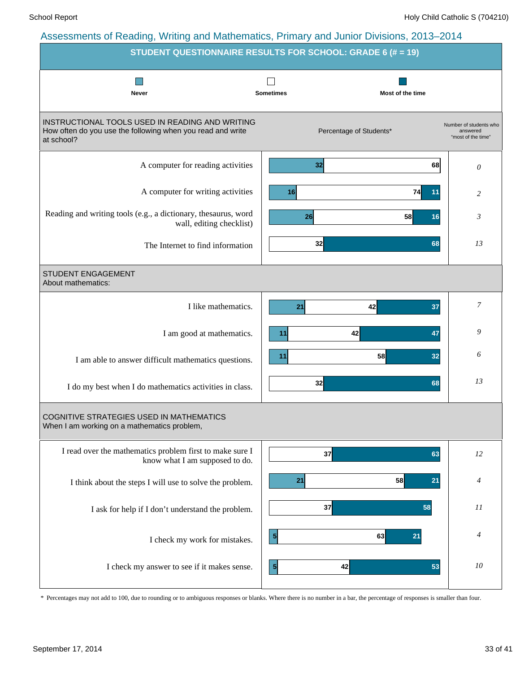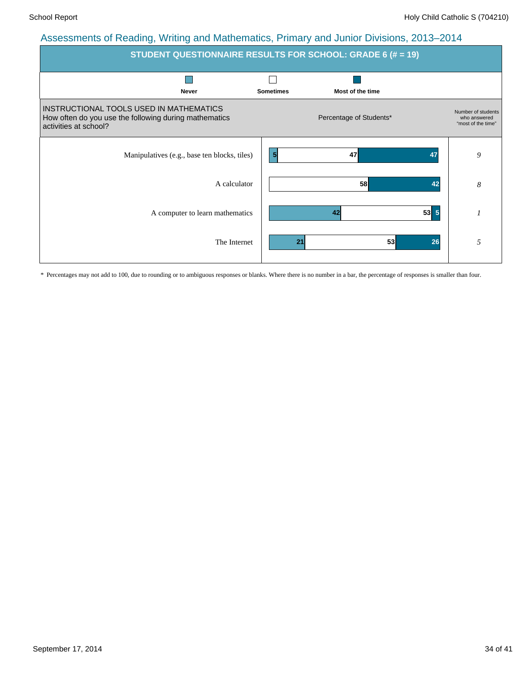| <b>STUDENT QUESTIONNAIRE RESULTS FOR SCHOOL: GRADE 6 (# = 19)</b>                                                         |                                      |                                                          |  |  |  |  |  |  |  |
|---------------------------------------------------------------------------------------------------------------------------|--------------------------------------|----------------------------------------------------------|--|--|--|--|--|--|--|
| <b>Never</b>                                                                                                              | Most of the time<br><b>Sometimes</b> |                                                          |  |  |  |  |  |  |  |
| INSTRUCTIONAL TOOLS USED IN MATHEMATICS<br>How often do you use the following during mathematics<br>activities at school? | Percentage of Students*              | Number of students<br>who answered<br>"most of the time" |  |  |  |  |  |  |  |
| Manipulatives (e.g., base ten blocks, tiles)                                                                              | $\vert 5 \vert$<br>47<br>47          | 9                                                        |  |  |  |  |  |  |  |
| A calculator                                                                                                              | 58<br>42                             | 8                                                        |  |  |  |  |  |  |  |
| A computer to learn mathematics                                                                                           | $53 \mid 5$<br>42                    |                                                          |  |  |  |  |  |  |  |
| The Internet                                                                                                              | 53<br>26<br>21                       | 5                                                        |  |  |  |  |  |  |  |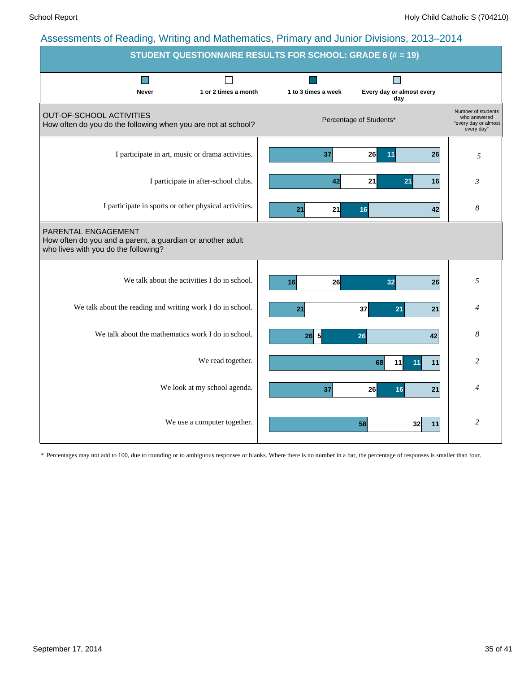|                                                                                                                           |                                      | STUDENT QUESTIONNAIRE RESULTS FOR SCHOOL: GRADE 6 (# = 19) |                                  |                                                                          |
|---------------------------------------------------------------------------------------------------------------------------|--------------------------------------|------------------------------------------------------------|----------------------------------|--------------------------------------------------------------------------|
| <b>Never</b>                                                                                                              | 1 or 2 times a month                 | 1 to 3 times a week                                        | Every day or almost every<br>day |                                                                          |
| <b>OUT-OF-SCHOOL ACTIVITIES</b><br>How often do you do the following when you are not at school?                          |                                      |                                                            | Percentage of Students*          | Number of students<br>who answered<br>"every day or almost<br>every day" |
| I participate in art, music or drama activities.                                                                          |                                      | 37                                                         | 26<br>26<br>11                   | 5                                                                        |
|                                                                                                                           | I participate in after-school clubs. | 42                                                         | 21<br>21<br>16                   | 3                                                                        |
| I participate in sports or other physical activities.                                                                     |                                      | 21<br>21                                                   | 16<br>42                         | 8                                                                        |
| PARENTAL ENGAGEMENT<br>How often do you and a parent, a guardian or another adult<br>who lives with you do the following? |                                      |                                                            |                                  |                                                                          |
| We talk about the activities I do in school.                                                                              |                                      | 26 <sup>1</sup><br>16                                      | 32<br>26                         | 5                                                                        |
| We talk about the reading and writing work I do in school.                                                                |                                      | 21                                                         | 37<br>21<br>21                   | $\overline{4}$                                                           |
| We talk about the mathematics work I do in school.                                                                        |                                      | 5<br>26                                                    | 26<br>42                         | 8                                                                        |
|                                                                                                                           | We read together.                    |                                                            | 68<br>11<br>11<br>11             | 2                                                                        |
|                                                                                                                           | We look at my school agenda.         | 37                                                         | 26<br>16<br>21                   | 4                                                                        |
|                                                                                                                           | We use a computer together.          |                                                            | 58<br>32 <sub>l</sub><br>11      | $\overline{c}$                                                           |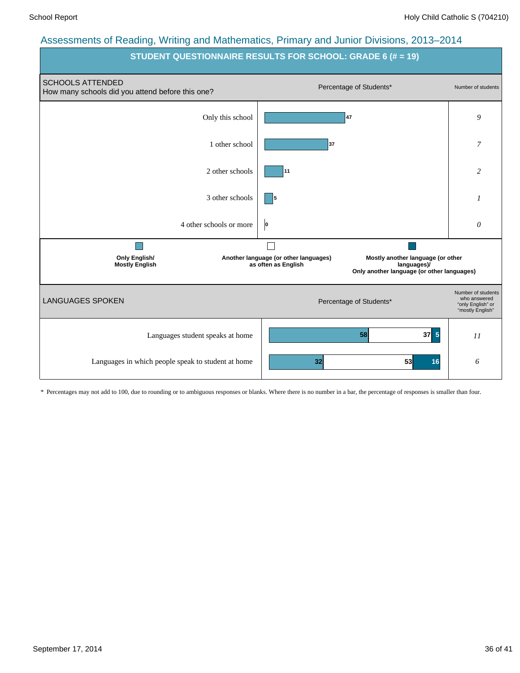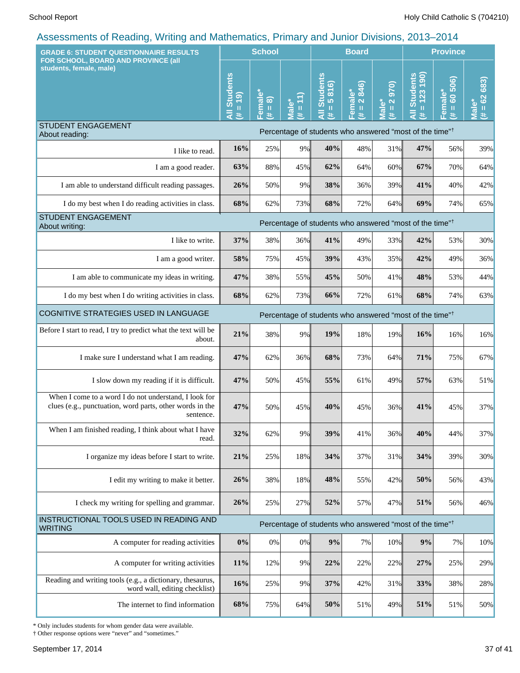| <b>GRADE 6: STUDENT QUESTIONNAIRE RESULTS</b><br>FOR SCHOOL, BOARD AND PROVINCE (all                                           |                                    | <b>School</b>                                                            |                                                    |                                                        | <b>Board</b>                     |                                                                          | <b>Province</b>                                                     |                                |                            |
|--------------------------------------------------------------------------------------------------------------------------------|------------------------------------|--------------------------------------------------------------------------|----------------------------------------------------|--------------------------------------------------------|----------------------------------|--------------------------------------------------------------------------|---------------------------------------------------------------------|--------------------------------|----------------------------|
| students, female, male)                                                                                                        | <b>All Students</b><br>$= 19$<br>共 | male <sup>*</sup><br>$\widehat{\infty}$<br>$\, \, \mathrm{II}$<br>Φ<br>进 | ÔΟ<br>$\mathbf{I}$<br>$\overline{\mathbf{a}}$<br># | <b>Students</b><br>816)<br>lo.<br>$\rm{II}$<br>Ę<br>y. | 2846)<br>Female*<br>$\rm H$<br>违 | $\overline{0}$<br>$\overline{\mathbf{N}}$<br>Male*<br>$\mathbf{u}$<br>y. | $= 123190$<br><b>Students</b><br>Ę<br>巷                             | 506)<br>Female*<br>$= 60$<br>违 | 683)<br>$= 62$<br>πal<br>巷 |
| <b>STUDENT ENGAGEMENT</b><br>About reading:                                                                                    |                                    |                                                                          |                                                    |                                                        |                                  |                                                                          | Percentage of students who answered "most of the time" <sup>†</sup> |                                |                            |
| I like to read.                                                                                                                | 16%                                | 25%                                                                      | 9%                                                 | 40%                                                    | 48%                              | 31%                                                                      | 47%                                                                 | 56%                            | 39%                        |
| I am a good reader.                                                                                                            | 63%                                | 88%                                                                      | 45%                                                | 62%                                                    | 64%                              | 60%                                                                      | 67%                                                                 | 70%                            | 64%                        |
| I am able to understand difficult reading passages.                                                                            | 26%                                | 50%                                                                      | 9%                                                 | 38%                                                    | 36%                              | 39%                                                                      | 41%                                                                 | 40%                            | 42%                        |
| I do my best when I do reading activities in class.                                                                            | 68%                                | 62%                                                                      | 73%                                                | 68%                                                    | 72%                              | 64%                                                                      | 69%                                                                 | 74%                            | 65%                        |
| <b>STUDENT ENGAGEMENT</b><br>About writing:                                                                                    |                                    |                                                                          |                                                    |                                                        |                                  |                                                                          | Percentage of students who answered "most of the time" <sup>†</sup> |                                |                            |
| I like to write.                                                                                                               | 37%                                | 38%                                                                      | 36%                                                | 41%                                                    | 49%                              | 33%                                                                      | 42%                                                                 | 53%                            | 30%                        |
| I am a good writer.                                                                                                            | 58%                                | 75%                                                                      | 45%                                                | 39%                                                    | 43%                              | 35%                                                                      | 42%                                                                 | 49%                            | 36%                        |
| I am able to communicate my ideas in writing.                                                                                  | 47%                                | 38%                                                                      | 55%                                                | 45%                                                    | 50%                              | 41%                                                                      | 48%                                                                 | 53%                            | 44%                        |
| I do my best when I do writing activities in class.                                                                            | 68%                                | 62%                                                                      | 73%                                                | 66%                                                    | 72%                              | 61%                                                                      | 68%                                                                 | 74%                            | 63%                        |
| COGNITIVE STRATEGIES USED IN LANGUAGE                                                                                          |                                    |                                                                          |                                                    |                                                        |                                  |                                                                          | Percentage of students who answered "most of the time" <sup>†</sup> |                                |                            |
| Before I start to read, I try to predict what the text will be<br>about.                                                       | 21%                                | 38%                                                                      | 9%                                                 | 19%                                                    | 18%                              | 19%                                                                      | 16%                                                                 | 16%                            | 16%                        |
| I make sure I understand what I am reading.                                                                                    | 47%                                | 62%                                                                      | 36%                                                | 68%                                                    | 73%                              | 64%                                                                      | 71%                                                                 | 75%                            | 67%                        |
| I slow down my reading if it is difficult.                                                                                     | 47%                                | 50%                                                                      | 45%                                                | 55%                                                    | 61%                              | 49%                                                                      | 57%                                                                 | 63%                            | 51%                        |
| When I come to a word I do not understand, I look for<br>clues (e.g., punctuation, word parts, other words in the<br>sentence. | 47%                                | 50%                                                                      | 45%                                                | 40%                                                    | 45%                              | 36%                                                                      | 41%                                                                 | 45%                            | 37%                        |
| When I am finished reading, I think about what I have<br>read.                                                                 | 32%                                | 62%                                                                      | 9%                                                 | 39%                                                    | 41%                              | 36%                                                                      | 40%                                                                 | 44%                            | 37%                        |
| I organize my ideas before I start to write.                                                                                   | 21%                                | 25%                                                                      | 18%                                                | 34%                                                    | 37%                              | 31%                                                                      | 34%                                                                 | 39%                            | 30%                        |
| I edit my writing to make it better.                                                                                           | 26%                                | 38%                                                                      | 18%                                                | 48%                                                    | 55%                              | 42%                                                                      | 50%                                                                 | 56%                            | 43%                        |
| I check my writing for spelling and grammar.                                                                                   | 26%                                | 25%                                                                      | 27%                                                | 52%                                                    | 57%                              | 47%                                                                      | 51%                                                                 | 56%                            | 46%                        |
| INSTRUCTIONAL TOOLS USED IN READING AND<br><b>WRITING</b>                                                                      |                                    |                                                                          |                                                    |                                                        |                                  |                                                                          | Percentage of students who answered "most of the time" <sup>†</sup> |                                |                            |
| A computer for reading activities                                                                                              | 0%                                 | $0\%$                                                                    | $0\%$                                              | 9%                                                     | $7\%$                            | 10%                                                                      | 9%                                                                  | 7%                             | 10%                        |
| A computer for writing activities                                                                                              | 11%                                | 12%                                                                      | 9%                                                 | 22%                                                    | 22%                              | 22%                                                                      | 27%                                                                 | 25%                            | 29%                        |
| Reading and writing tools (e.g., a dictionary, thesaurus,<br>word wall, editing checklist)                                     | 16%                                | 25%                                                                      | 9%                                                 | 37%                                                    | 42%                              | 31%                                                                      | 33%                                                                 | 38%                            | 28%                        |
| The internet to find information                                                                                               | 68%                                | 75%                                                                      | 64%                                                | 50%                                                    | 51%                              | 49%                                                                      | 51%                                                                 | 51%                            | 50%                        |

\* Only includes students for whom gender data were available.

† Other response options were "never" and "sometimes."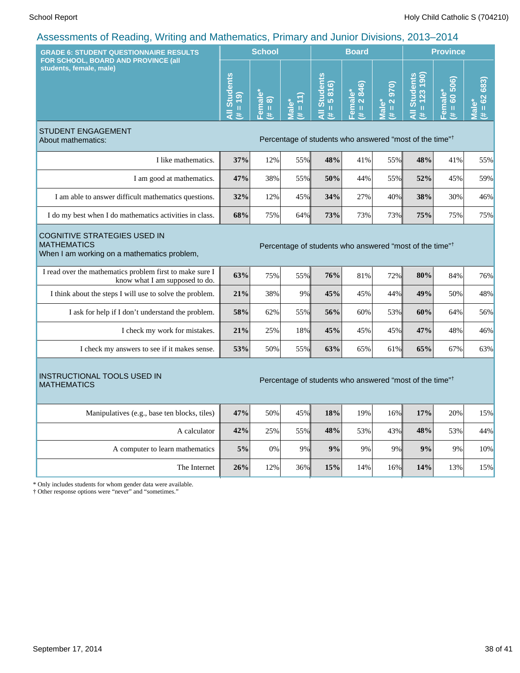| <b>GRADE 6: STUDENT QUESTIONNAIRE RESULTS</b>                                                                                                                                   |                                     | <b>School</b>                                                  |                                       |                                                                     | <b>Board</b>                 |                                                             | <b>Province</b>                                   |                              |                                      |
|---------------------------------------------------------------------------------------------------------------------------------------------------------------------------------|-------------------------------------|----------------------------------------------------------------|---------------------------------------|---------------------------------------------------------------------|------------------------------|-------------------------------------------------------------|---------------------------------------------------|------------------------------|--------------------------------------|
| FOR SCHOOL, BOARD AND PROVINCE (all<br>students, female, male)                                                                                                                  | <b>All Students</b><br>$= 19$<br>y. | Female <sup>®</sup><br>$\widehat{\infty}$<br>$\mathbf{u}$<br>进 | $\overline{\mathbf{u}}$<br>Male*<br>⊕ | <b>Students</b><br>816)<br>$\overline{5}$<br>$\rm{II}$<br>₹<br>违    | 846)<br>Female*<br>(# = 2 84 | $\overline{0}$<br>$\mathbf{\Omega}$<br>Male*<br>$\,$ H<br>共 | ents<br>(061)<br><b>All Stud</b><br>123<br>ш<br>违 | 60 506)<br>Female*<br>Ш<br>违 | $= 62683$<br>ۘ۫ٯ<br><u>iely</u><br>进 |
| <b>STUDENT ENGAGEMENT</b><br>About mathematics:                                                                                                                                 |                                     |                                                                |                                       | Percentage of students who answered "most of the time" <sup>†</sup> |                              |                                                             |                                                   |                              |                                      |
| I like mathematics.                                                                                                                                                             | 37%                                 | 12%                                                            | 55%                                   | 48%                                                                 | 41%                          | 55%                                                         | 48%                                               | 41%                          | 55%                                  |
| I am good at mathematics.                                                                                                                                                       | 47%                                 | 38%                                                            | 55%                                   | 50%                                                                 | 44%                          | 55%                                                         | 52%                                               | 45%                          | 59%                                  |
| I am able to answer difficult mathematics questions.                                                                                                                            | 32%                                 | 12%                                                            | 45%                                   | 34%                                                                 | 27%                          | 40%                                                         | 38%                                               | 30%                          | 46%                                  |
| I do my best when I do mathematics activities in class.                                                                                                                         | 68%                                 | 75%                                                            | 64%                                   | 73%                                                                 | 73%                          | 73%                                                         | 75%                                               | 75%                          | 75%                                  |
| <b>COGNITIVE STRATEGIES USED IN</b><br><b>MATHEMATICS</b><br>Percentage of students who answered "most of the time" <sup>†</sup><br>When I am working on a mathematics problem, |                                     |                                                                |                                       |                                                                     |                              |                                                             |                                                   |                              |                                      |
| I read over the mathematics problem first to make sure I<br>know what I am supposed to do.                                                                                      | 63%                                 | 75%                                                            | 55%                                   | 76%                                                                 | 81%                          | 72%                                                         | 80%                                               | 84%                          | 76%                                  |
| I think about the steps I will use to solve the problem.                                                                                                                        | 21%                                 | 38%                                                            | 9%                                    | 45%                                                                 | 45%                          | 44%                                                         | 49%                                               | 50%                          | 48%                                  |
| I ask for help if I don't understand the problem.                                                                                                                               | 58%                                 | 62%                                                            | 55%                                   | 56%                                                                 | 60%                          | 53%                                                         | 60%                                               | 64%                          | 56%                                  |
| I check my work for mistakes.                                                                                                                                                   | 21%                                 | 25%                                                            | 18%                                   | 45%                                                                 | 45%                          | 45%                                                         | 47%                                               | 48%                          | 46%                                  |
| I check my answers to see if it makes sense.                                                                                                                                    | 53%                                 | 50%                                                            | 55%                                   | 63%                                                                 | 65%                          | 61%                                                         | 65%                                               | 67%                          | 63%                                  |
| <b>INSTRUCTIONAL TOOLS USED IN</b><br><b>MATHEMATICS</b>                                                                                                                        |                                     |                                                                |                                       | Percentage of students who answered "most of the time" <sup>†</sup> |                              |                                                             |                                                   |                              |                                      |
| Manipulatives (e.g., base ten blocks, tiles)                                                                                                                                    | 47%                                 | 50%                                                            | 45%                                   | 18%                                                                 | 19%                          | 16%                                                         | 17%                                               | 20%                          | 15%                                  |
| A calculator                                                                                                                                                                    | 42%                                 | 25%                                                            | 55%                                   | 48%                                                                 | 53%                          | 43%                                                         | 48%                                               | 53%                          | 44%                                  |
| A computer to learn mathematics                                                                                                                                                 | $5\%$                               | 0%                                                             | 9%                                    | 9%                                                                  | 9%                           | 9%                                                          | 9%                                                | 9%                           | $10\%$                               |
| The Internet                                                                                                                                                                    | 26%                                 | 12%                                                            | 36%                                   | 15%                                                                 | 14%                          | 16%                                                         | 14%                                               | 13%                          | 15%                                  |
| * Only includes students for whom gender data were available.                                                                                                                   |                                     |                                                                |                                       |                                                                     |                              |                                                             |                                                   |                              |                                      |

† Other response options were "never" and "sometimes."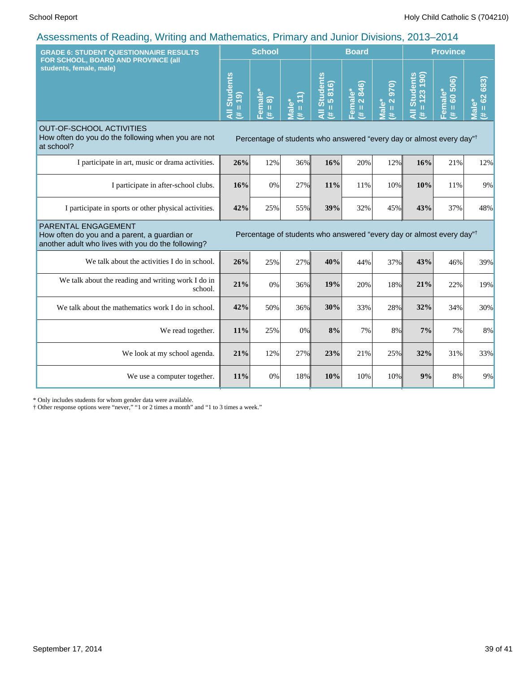| <b>GRADE 6: STUDENT QUESTIONNAIRE RESULTS</b><br>FOR SCHOOL, BOARD AND PROVINCE (all                                      |                                                            | <b>School</b>      |                               |                                                                                  | <b>Board</b>           |                                                                           |                                            | <b>Province</b>                                   |                              |  |  |
|---------------------------------------------------------------------------------------------------------------------------|------------------------------------------------------------|--------------------|-------------------------------|----------------------------------------------------------------------------------|------------------------|---------------------------------------------------------------------------|--------------------------------------------|---------------------------------------------------|------------------------------|--|--|
| students, female, male)                                                                                                   | <b>Students</b><br>$= 19$<br>$\bar{\bar{\mathsf{z}}}$<br>共 | Female*<br>(# = 8) | $11 = #$<br>Male <sup>*</sup> | <b>All Students</b><br>$= 5816$<br>进                                             | Female*<br>(# = 2 846) | (016<br>$\overline{\mathbf{N}}$<br>Male <sup>*</sup><br>$\mathbf{u}$<br>共 | $= 123 190$<br><b>Students</b><br>ह्∣<br>主 | 506)<br>Female*<br><u>င</u><br>$\bar{\rm H}$<br>违 | 683)<br>$= 62$<br>Male*<br>进 |  |  |
| <b>OUT-OF-SCHOOL ACTIVITIES</b><br>How often do you do the following when you are not<br>at school?                       |                                                            |                    |                               | Percentage of students who answered "every day or almost every day" <sup>†</sup> |                        |                                                                           |                                            |                                                   |                              |  |  |
| I participate in art, music or drama activities.                                                                          | 26%                                                        | 12%                | $36\%$                        | 16%                                                                              | 20%                    | 12%                                                                       | 16%                                        | 21%                                               | 12%                          |  |  |
| I participate in after-school clubs.                                                                                      | 16%                                                        | 0%                 | 27%                           | 11%                                                                              | 11%                    | 10%                                                                       | 10%                                        | 11%                                               | 9%                           |  |  |
| I participate in sports or other physical activities.                                                                     | 42%                                                        | 25%                | 55%                           | 39%                                                                              | 32%                    | 45%                                                                       | 43%                                        | 37%                                               | 48%                          |  |  |
| PARENTAL ENGAGEMENT<br>How often do you and a parent, a guardian or<br>another adult who lives with you do the following? |                                                            |                    |                               | Percentage of students who answered "every day or almost every day" <sup>†</sup> |                        |                                                                           |                                            |                                                   |                              |  |  |
| We talk about the activities I do in school.                                                                              | 26%                                                        | 25%                | 27%                           | 40%                                                                              | 44%                    | 37%                                                                       | 43%                                        | 46%                                               | 39%                          |  |  |
| We talk about the reading and writing work I do in<br>school.                                                             | 21%                                                        | 0%                 | 36%                           | 19%                                                                              | 20%                    | 18%                                                                       | 21%                                        | 22%                                               | 19%                          |  |  |
| We talk about the mathematics work I do in school.                                                                        | 42%                                                        | 50%                | 36%                           | 30%                                                                              | 33%                    | 28%                                                                       | 32%                                        | 34%                                               | 30%                          |  |  |
| We read together.                                                                                                         | 11%                                                        | 25%                | 0%                            | 8%                                                                               | 7%                     | 8%                                                                        | 7%                                         | 7%                                                | 8%                           |  |  |
| We look at my school agenda.                                                                                              | 21%                                                        | 12%                | 27%                           | 23%                                                                              | 21%                    | 25%                                                                       | 32%                                        | 31%                                               | 33%                          |  |  |
| We use a computer together.                                                                                               | 11%                                                        | 0%                 | 18%                           | 10%                                                                              | 10%                    | 10%                                                                       | 9%                                         | 8%                                                | 9%                           |  |  |

\* Only includes students for whom gender data were available.

† Other response options were "never," "1 or 2 times a month" and "1 to 3 times a week."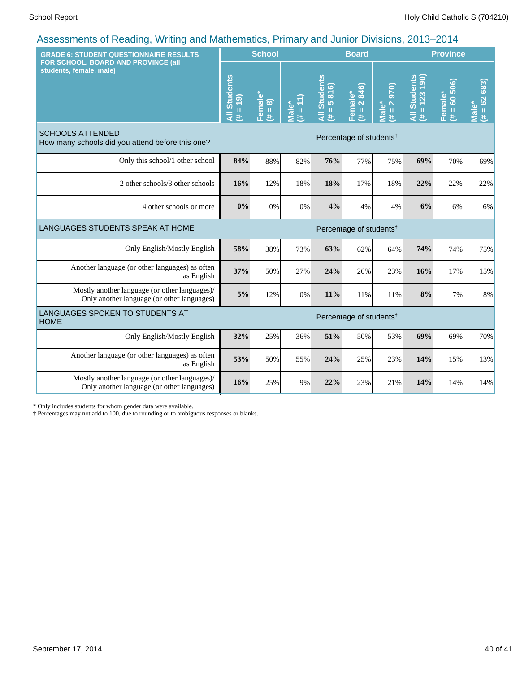| <b>GRADE 6: STUDENT QUESTIONNAIRE RESULTS</b><br>FOR SCHOOL, BOARD AND PROVINCE (all<br>students, female, male) |                                     | <b>School</b>                                    |                |                               | <b>Board</b>           |                          |                                        | <b>Province</b>                         |                      |  |
|-----------------------------------------------------------------------------------------------------------------|-------------------------------------|--------------------------------------------------|----------------|-------------------------------|------------------------|--------------------------|----------------------------------------|-----------------------------------------|----------------------|--|
|                                                                                                                 |                                     | emale<br>$\widehat{\infty}$<br>$\mathbf{u}$<br>共 | (11)<br>Viale* | All Students<br>$= 5816$<br>苤 | Female*<br>(# = 2 846) | 970)<br>$# = 2$<br>Male* | $= 123190$<br><b>All Students</b><br>进 | 60 506)<br>Female*<br>$\mathbf{u}$<br>进 | $# = 62683$<br>Male* |  |
| <b>SCHOOLS ATTENDED</b><br>How many schools did you attend before this one?                                     | Percentage of students <sup>†</sup> |                                                  |                |                               |                        |                          |                                        |                                         |                      |  |
| Only this school/1 other school                                                                                 | 84%                                 | 88%                                              | 82%            | 76%                           | 77%                    | 75%                      | 69%                                    | 70%                                     | 69%                  |  |
| 2 other schools/3 other schools                                                                                 | 16%                                 | 12%                                              | 18%            | 18%                           | 17%                    | 18%                      | 22%                                    | 22%                                     | 22%                  |  |
| 4 other schools or more                                                                                         | 0%                                  | 0%                                               | 0%             | 4%                            | 4%                     | $4\%$                    | 6%                                     | 6%                                      | 6%                   |  |
| LANGUAGES STUDENTS SPEAK AT HOME<br>Percentage of students <sup>†</sup>                                         |                                     |                                                  |                |                               |                        |                          |                                        |                                         |                      |  |
| Only English/Mostly English                                                                                     | 58%                                 | 38%                                              | 73%            | 63%                           | 62%                    | 64%                      | 74%                                    | 74%                                     | 75%                  |  |
| Another language (or other languages) as often<br>as English                                                    | 37%                                 | 50%                                              | 27%            | 24%                           | 26%                    | 23%                      | 16%                                    | 17%                                     | 15%                  |  |
| Mostly another language (or other languages)/<br>Only another language (or other languages)                     | 5%                                  | 12%                                              | 0%             | 11%                           | 11%                    | 11%                      | 8%                                     | 7%                                      | 8%                   |  |
| LANGUAGES SPOKEN TO STUDENTS AT<br>Percentage of students <sup>†</sup><br><b>HOME</b>                           |                                     |                                                  |                |                               |                        |                          |                                        |                                         |                      |  |
| Only English/Mostly English                                                                                     | 32%                                 | 25%                                              | 36%            | 51%                           | 50%                    | 53%                      | 69%                                    | 69%                                     | 70%                  |  |
| Another language (or other languages) as often<br>as English                                                    | 53%                                 | 50%                                              | 55%            | 24%                           | 25%                    | 23%                      | 14%                                    | 15%                                     | 13%                  |  |
| Mostly another language (or other languages)/<br>Only another language (or other languages)                     | 16%                                 | 25%                                              | 9%             | 22%                           | 23%                    | 21%                      | 14%                                    | 14%                                     | 14%                  |  |

\* Only includes students for whom gender data were available.

† Percentages may not add to 100, due to rounding or to ambiguous responses or blanks.